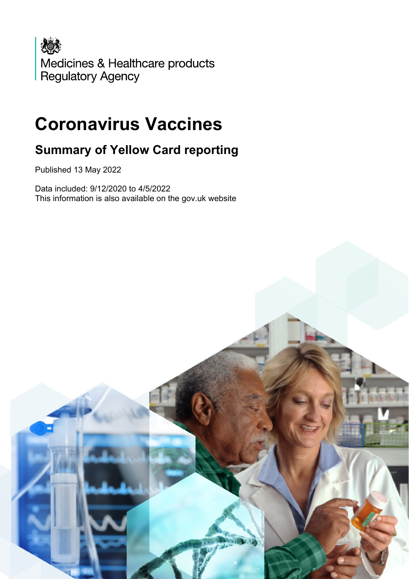

# **Coronavirus Vaccines**

## **Summary of Yellow Card reporting**

Published 13 May 2022

Data included: 9/12/2020 to 4/5/2022 This information is also available on the gov.uk website

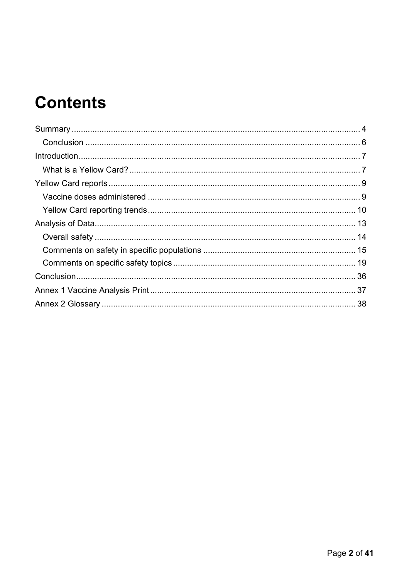# **Contents**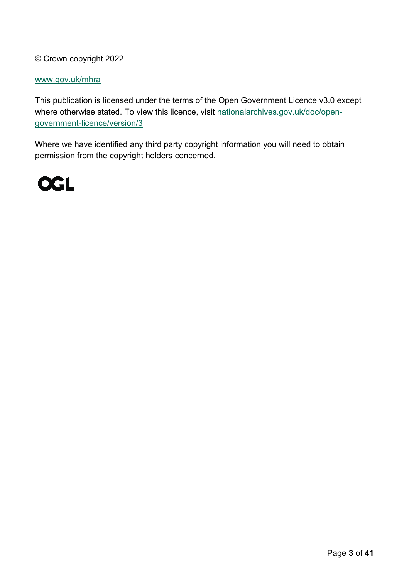#### © Crown copyright 2022

#### [www.gov.uk/mhra](http://www.gov.uk/mhra)

This publication is licensed under the terms of the Open Government Licence v3.0 except where otherwise stated. To view this licence, visit [nationalarchives.gov.uk/doc/open](http://nationalarchives.gov.uk/doc/open-government-licence/version/3/)[government-licence/version/3](http://nationalarchives.gov.uk/doc/open-government-licence/version/3/)

Where we have identified any third party copyright information you will need to obtain permission from the copyright holders concerned.

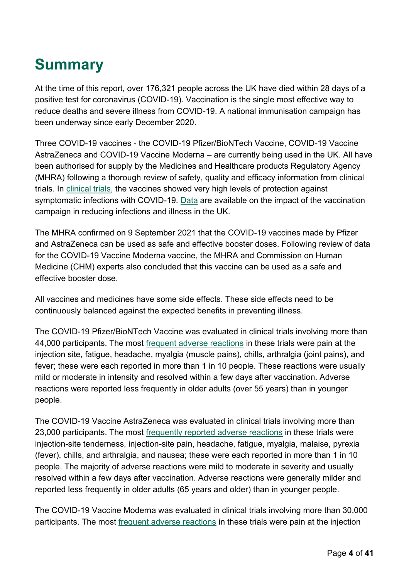# <span id="page-3-0"></span>**Summary**

At the time of this report, over 176,321 people across the UK have died within 28 days of a positive test for coronavirus (COVID-19). Vaccination is the single most effective way to reduce deaths and severe illness from COVID-19. A national immunisation campaign has been underway since early December 2020.

Three COVID-19 vaccines - the COVID-19 Pfizer/BioNTech Vaccine, COVID-19 Vaccine AstraZeneca and COVID-19 Vaccine Moderna – are currently being used in the UK. All have been authorised for supply by the Medicines and Healthcare products Regulatory Agency (MHRA) following a thorough review of safety, quality and efficacy information from clinical trials. In [clinical trials,](https://www.gov.uk/government/collections/mhra-guidance-on-coronavirus-covid-19#vaccines-and-vaccine-safety) the vaccines showed very high levels of protection against symptomatic infections with COVID-19. [Data](https://www.gov.uk/government/publications/phe-monitoring-of-the-effectiveness-of-covid-19-vaccination) are available on the impact of the vaccination campaign in reducing infections and illness in the UK.

The MHRA confirmed on 9 September 2021 that the COVID-19 vaccines made by Pfizer and AstraZeneca can be used as safe and effective booster doses. Following review of data for the COVID-19 Vaccine Moderna vaccine, the MHRA and Commission on Human Medicine (CHM) experts also concluded that this vaccine can be used as a safe and effective booster dose.

All vaccines and medicines have some side effects. These side effects need to be continuously balanced against the expected benefits in preventing illness.

The COVID-19 Pfizer/BioNTech Vaccine was evaluated in clinical trials involving more than 44,000 participants. The most [frequent adverse reactions](https://www.gov.uk/government/publications/regulatory-approval-of-pfizer-biontech-vaccine-for-covid-19/information-for-healthcare-professionals-on-pfizerbiontech-covid-19-vaccine) in these trials were pain at the injection site, fatigue, headache, myalgia (muscle pains), chills, arthralgia (joint pains), and fever; these were each reported in more than 1 in 10 people. These reactions were usually mild or moderate in intensity and resolved within a few days after vaccination. Adverse reactions were reported less frequently in older adults (over 55 years) than in younger people.

The COVID-19 Vaccine AstraZeneca was evaluated in clinical trials involving more than 23,000 participants. The most [frequently reported adverse reactions](https://www.gov.uk/government/publications/regulatory-approval-of-covid-19-vaccine-astrazeneca/information-for-healthcare-professionals-on-covid-19-vaccine-astrazeneca) in these trials were injection-site tenderness, injection-site pain, headache, fatigue, myalgia, malaise, pyrexia (fever), chills, and arthralgia, and nausea; these were each reported in more than 1 in 10 people. The majority of adverse reactions were mild to moderate in severity and usually resolved within a few days after vaccination. Adverse reactions were generally milder and reported less frequently in older adults (65 years and older) than in younger people.

The COVID-19 Vaccine Moderna was evaluated in clinical trials involving more than 30,000 participants. The most [frequent adverse reactions](https://www.gov.uk/government/publications/regulatory-approval-of-covid-19-vaccine-moderna/information-for-healthcare-professionals-on-covid-19-vaccine-moderna) in these trials were pain at the injection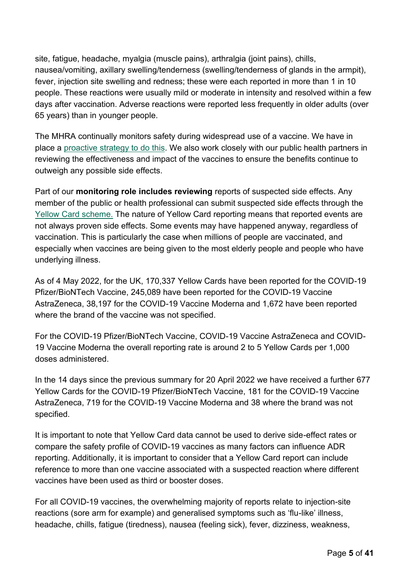site, fatigue, headache, myalgia (muscle pains), arthralgia (joint pains), chills, nausea/vomiting, axillary swelling/tenderness (swelling/tenderness of glands in the armpit), fever, injection site swelling and redness; these were each reported in more than 1 in 10 people. These reactions were usually mild or moderate in intensity and resolved within a few days after vaccination. Adverse reactions were reported less frequently in older adults (over 65 years) than in younger people.

The MHRA continually monitors safety during widespread use of a vaccine. We have in place a [proactive strategy to do this.](https://www.gov.uk/government/publications/report-of-the-commission-on-human-medicines-expert-working-group-on-covid-19-vaccine-safety-surveillance) We also work closely with our public health partners in reviewing the effectiveness and impact of the vaccines to ensure the benefits continue to outweigh any possible side effects.

Part of our **monitoring role includes reviewing** reports of suspected side effects. Any member of the public or health professional can submit suspected side effects through the [Yellow Card scheme.](https://yellowcard.mhra.gov.uk/) The nature of Yellow Card reporting means that reported events are not always proven side effects. Some events may have happened anyway, regardless of vaccination. This is particularly the case when millions of people are vaccinated, and especially when vaccines are being given to the most elderly people and people who have underlying illness.

As of 4 May 2022, for the UK, 170,337 Yellow Cards have been reported for the COVID-19 Pfizer/BioNTech Vaccine, 245,089 have been reported for the COVID-19 Vaccine AstraZeneca, 38,197 for the COVID-19 Vaccine Moderna and 1,672 have been reported where the brand of the vaccine was not specified.

For the COVID-19 Pfizer/BioNTech Vaccine, COVID-19 Vaccine AstraZeneca and COVID-19 Vaccine Moderna the overall reporting rate is around 2 to 5 Yellow Cards per 1,000 doses administered.

In the 14 days since the previous summary for 20 April 2022 we have received a further 677 Yellow Cards for the COVID-19 Pfizer/BioNTech Vaccine, 181 for the COVID-19 Vaccine AstraZeneca, 719 for the COVID-19 Vaccine Moderna and 38 where the brand was not specified.

It is important to note that Yellow Card data cannot be used to derive side-effect rates or compare the safety profile of COVID-19 vaccines as many factors can influence ADR reporting. Additionally, it is important to consider that a Yellow Card report can include reference to more than one vaccine associated with a suspected reaction where different vaccines have been used as third or booster doses.

For all COVID-19 vaccines, the overwhelming majority of reports relate to injection-site reactions (sore arm for example) and generalised symptoms such as 'flu-like' illness, headache, chills, fatigue (tiredness), nausea (feeling sick), fever, dizziness, weakness,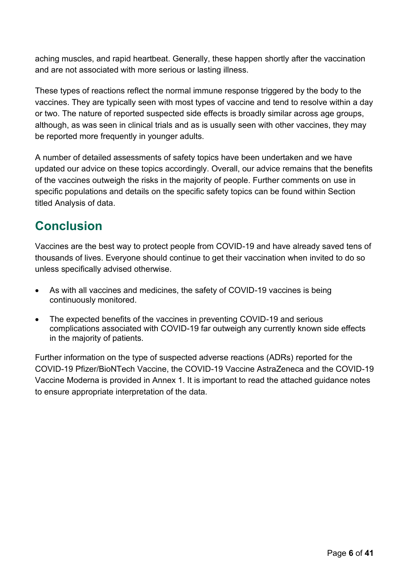aching muscles, and rapid heartbeat. Generally, these happen shortly after the vaccination and are not associated with more serious or lasting illness.

These types of reactions reflect the normal immune response triggered by the body to the vaccines. They are typically seen with most types of vaccine and tend to resolve within a day or two. The nature of reported suspected side effects is broadly similar across age groups, although, as was seen in clinical trials and as is usually seen with other vaccines, they may be reported more frequently in younger adults.

A number of detailed assessments of safety topics have been undertaken and we have updated our advice on these topics accordingly. Overall, our advice remains that the benefits of the vaccines outweigh the risks in the majority of people. Further comments on use in specific populations and details on the specific safety topics can be found within Section titled Analysis of data.

## <span id="page-5-0"></span>**Conclusion**

Vaccines are the best way to protect people from COVID-19 and have already saved tens of thousands of lives. Everyone should continue to get their vaccination when invited to do so unless specifically advised otherwise.

- As with all vaccines and medicines, the safety of COVID-19 vaccines is being continuously monitored.
- The expected benefits of the vaccines in preventing COVID-19 and serious complications associated with COVID-19 far outweigh any currently known side effects in the majority of patients.

Further information on the type of suspected adverse reactions (ADRs) reported for the COVID-19 Pfizer/BioNTech Vaccine, the COVID-19 Vaccine AstraZeneca and the COVID-19 Vaccine Moderna is provided in Annex 1. It is important to read the attached guidance notes to ensure appropriate interpretation of the data.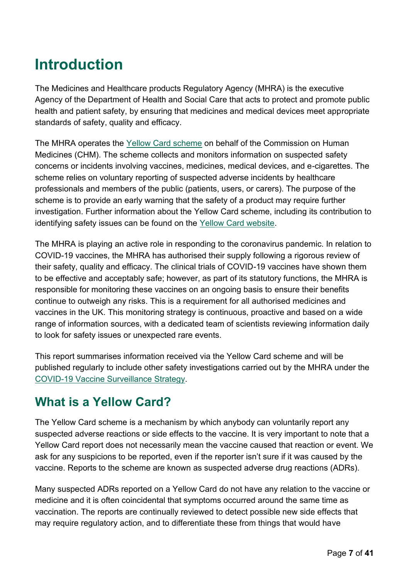# <span id="page-6-0"></span>**Introduction**

The Medicines and Healthcare products Regulatory Agency (MHRA) is the executive Agency of the Department of Health and Social Care that acts to protect and promote public health and patient safety, by ensuring that medicines and medical devices meet appropriate standards of safety, quality and efficacy.

The MHRA operates the [Yellow Card scheme](https://yellowcard.mhra.gov.uk/) on behalf of the Commission on Human Medicines (CHM). The scheme collects and monitors information on suspected safety concerns or incidents involving vaccines, medicines, medical devices, and e-cigarettes. The scheme relies on voluntary reporting of suspected adverse incidents by healthcare professionals and members of the public (patients, users, or carers). The purpose of the scheme is to provide an early warning that the safety of a product may require further investigation. Further information about the Yellow Card scheme, including its contribution to identifying safety issues can be found on the [Yellow Card website.](https://yellowcard.mhra.gov.uk/the-yellow-card-scheme/)

The MHRA is playing an active role in responding to the coronavirus pandemic. In relation to COVID-19 vaccines, the MHRA has authorised their supply following a rigorous review of their safety, quality and efficacy. The clinical trials of COVID-19 vaccines have shown them to be effective and acceptably safe; however, as part of its statutory functions, the MHRA is responsible for monitoring these vaccines on an ongoing basis to ensure their benefits continue to outweigh any risks. This is a requirement for all authorised medicines and vaccines in the UK. This monitoring strategy is continuous, proactive and based on a wide range of information sources, with a dedicated team of scientists reviewing information daily to look for safety issues or unexpected rare events.

This report summarises information received via the Yellow Card scheme and will be published regularly to include other safety investigations carried out by the MHRA under the [COVID-19 Vaccine Surveillance Strategy.](https://www.gov.uk/government/publications/report-of-the-commission-on-human-medicines-expert-working-group-on-covid-19-vaccine-safety-surveillance)

### <span id="page-6-1"></span>**What is a Yellow Card?**

The Yellow Card scheme is a mechanism by which anybody can voluntarily report any suspected adverse reactions or side effects to the vaccine. It is very important to note that a Yellow Card report does not necessarily mean the vaccine caused that reaction or event. We ask for any suspicions to be reported, even if the reporter isn't sure if it was caused by the vaccine. Reports to the scheme are known as suspected adverse drug reactions (ADRs).

Many suspected ADRs reported on a Yellow Card do not have any relation to the vaccine or medicine and it is often coincidental that symptoms occurred around the same time as vaccination. The reports are continually reviewed to detect possible new side effects that may require regulatory action, and to differentiate these from things that would have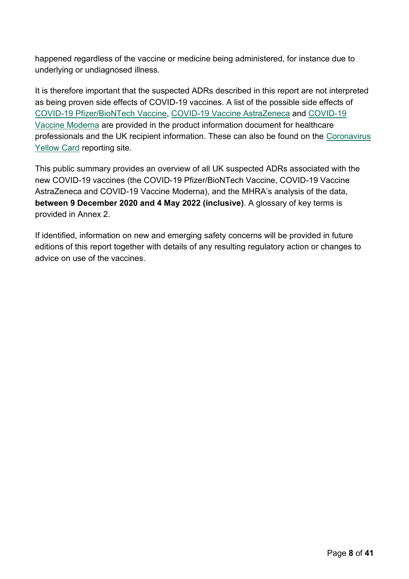happened regardless of the vaccine or medicine being administered, for instance due to underlying or undiagnosed illness.

It is therefore important that the suspected ADRs described in this report are not interpreted as being proven side effects of COVID-19 vaccines. A list of the possible side effects of [COVID-19 Pfizer/BioNTech](https://www.gov.uk/government/publications/regulatory-approval-of-pfizer-biontech-vaccine-for-covid-19) Vaccine, [COVID-19 Vaccine AstraZeneca](https://www.gov.uk/government/publications/regulatory-approval-of-covid-19-vaccine-astrazeneca) and [COVID-19](https://www.gov.uk/government/publications/regulatory-approval-of-covid-19-vaccine-moderna/information-for-healthcare-professionals-on-covid-19-vaccine-moderna)  [Vaccine Moderna](https://www.gov.uk/government/publications/regulatory-approval-of-covid-19-vaccine-moderna/information-for-healthcare-professionals-on-covid-19-vaccine-moderna) are provided in the product information document for healthcare professionals and the UK recipient information. These can also be found on the [Coronavirus](https://coronavirus-yellowcard.mhra.gov.uk/)  [Yellow Card](https://coronavirus-yellowcard.mhra.gov.uk/) reporting site.

This public summary provides an overview of all UK suspected ADRs associated with the new COVID-19 vaccines (the COVID-19 Pfizer/BioNTech Vaccine, COVID-19 Vaccine AstraZeneca and COVID-19 Vaccine Moderna), and the MHRA's analysis of the data, **between 9 December 2020 and 4 May 2022 (inclusive)**. A glossary of key terms is provided in Annex 2.

If identified, information on new and emerging safety concerns will be provided in future editions of this report together with details of any resulting regulatory action or changes to advice on use of the vaccines.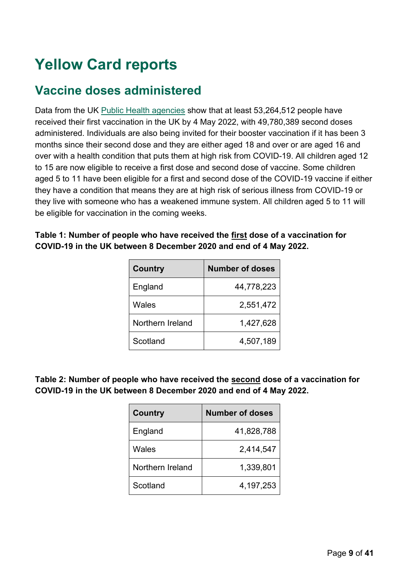# <span id="page-8-0"></span>**Yellow Card reports**

### <span id="page-8-1"></span>**Vaccine doses administered**

Data from the UK [Public Health agencies](https://coronavirus.data.gov.uk/details/vaccinations) show that at least 53,264,512 people have received their first vaccination in the UK by 4 May 2022, with 49,780,389 second doses administered. Individuals are also being invited for their booster vaccination if it has been 3 months since their second dose and they are either aged 18 and over or are aged 16 and over with a health condition that puts them at high risk from COVID-19. All children aged 12 to 15 are now eligible to receive a first dose and second dose of vaccine. Some children aged 5 to 11 have been eligible for a first and second dose of the COVID-19 vaccine if either they have a condition that means they are at high risk of serious illness from COVID-19 or they live with someone who has a weakened immune system. All children aged 5 to 11 will be eligible for vaccination in the coming weeks.

#### **Table 1: Number of people who have received the first dose of a vaccination for COVID-19 in the UK between 8 December 2020 and end of 4 May 2022.**

| <b>Country</b>   | <b>Number of doses</b> |
|------------------|------------------------|
| England          | 44,778,223             |
| Wales            | 2,551,472              |
| Northern Ireland | 1,427,628              |
| Scotland         | 4,507,189              |

**Table 2: Number of people who have received the second dose of a vaccination for COVID-19 in the UK between 8 December 2020 and end of 4 May 2022.**

| <b>Country</b>   | <b>Number of doses</b> |
|------------------|------------------------|
| England          | 41,828,788             |
| Wales            | 2,414,547              |
| Northern Ireland | 1,339,801              |
| Scotland         | 4,197,253              |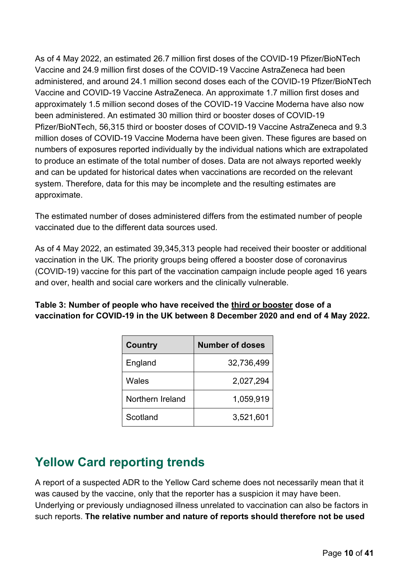As of 4 May 2022, an estimated 26.7 million first doses of the COVID-19 Pfizer/BioNTech Vaccine and 24.9 million first doses of the COVID-19 Vaccine AstraZeneca had been administered, and around 24.1 million second doses each of the COVID-19 Pfizer/BioNTech Vaccine and COVID-19 Vaccine AstraZeneca. An approximate 1.7 million first doses and approximately 1.5 million second doses of the COVID-19 Vaccine Moderna have also now been administered. An estimated 30 million third or booster doses of COVID-19 Pfizer/BioNTech, 56,315 third or booster doses of COVID-19 Vaccine AstraZeneca and 9.3 million doses of COVID-19 Vaccine Moderna have been given. These figures are based on numbers of exposures reported individually by the individual nations which are extrapolated to produce an estimate of the total number of doses. Data are not always reported weekly and can be updated for historical dates when vaccinations are recorded on the relevant system. Therefore, data for this may be incomplete and the resulting estimates are approximate.

The estimated number of doses administered differs from the estimated number of people vaccinated due to the different data sources used.

As of 4 May 2022, an estimated 39,345,313 people had received their booster or additional vaccination in the UK. The priority groups being offered a booster dose of coronavirus (COVID-19) vaccine for this part of the vaccination campaign include people aged 16 years and over, health and social care workers and the clinically vulnerable.

**Table 3: Number of people who have received the third or booster dose of a vaccination for COVID-19 in the UK between 8 December 2020 and end of 4 May 2022.**

| <b>Country</b>   | <b>Number of doses</b> |
|------------------|------------------------|
| England          | 32,736,499             |
| Wales            | 2,027,294              |
| Northern Ireland | 1,059,919              |
| Scotland         | 3,521,601              |

## <span id="page-9-0"></span>**Yellow Card reporting trends**

A report of a suspected ADR to the Yellow Card scheme does not necessarily mean that it was caused by the vaccine, only that the reporter has a suspicion it may have been. Underlying or previously undiagnosed illness unrelated to vaccination can also be factors in such reports. **The relative number and nature of reports should therefore not be used**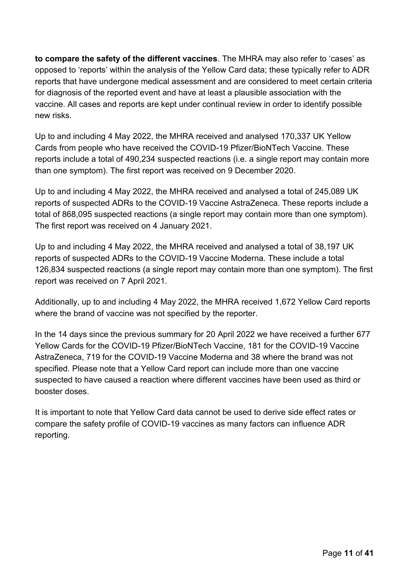**to compare the safety of the different vaccines**. The MHRA may also refer to 'cases' as opposed to 'reports' within the analysis of the Yellow Card data; these typically refer to ADR reports that have undergone medical assessment and are considered to meet certain criteria for diagnosis of the reported event and have at least a plausible association with the vaccine. All cases and reports are kept under continual review in order to identify possible new risks.

Up to and including 4 May 2022, the MHRA received and analysed 170,337 UK Yellow Cards from people who have received the COVID-19 Pfizer/BioNTech Vaccine. These reports include a total of 490,234 suspected reactions (i.e. a single report may contain more than one symptom). The first report was received on 9 December 2020.

Up to and including 4 May 2022, the MHRA received and analysed a total of 245,089 UK reports of suspected ADRs to the COVID-19 Vaccine AstraZeneca. These reports include a total of 868,095 suspected reactions (a single report may contain more than one symptom). The first report was received on 4 January 2021.

Up to and including 4 May 2022, the MHRA received and analysed a total of 38,197 UK reports of suspected ADRs to the COVID-19 Vaccine Moderna. These include a total 126,834 suspected reactions (a single report may contain more than one symptom). The first report was received on 7 April 2021.

Additionally, up to and including 4 May 2022, the MHRA received 1,672 Yellow Card reports where the brand of vaccine was not specified by the reporter.

In the 14 days since the previous summary for 20 April 2022 we have received a further 677 Yellow Cards for the COVID-19 Pfizer/BioNTech Vaccine, 181 for the COVID-19 Vaccine AstraZeneca, 719 for the COVID-19 Vaccine Moderna and 38 where the brand was not specified. Please note that a Yellow Card report can include more than one vaccine suspected to have caused a reaction where different vaccines have been used as third or booster doses.

It is important to note that Yellow Card data cannot be used to derive side effect rates or compare the safety profile of COVID-19 vaccines as many factors can influence ADR reporting.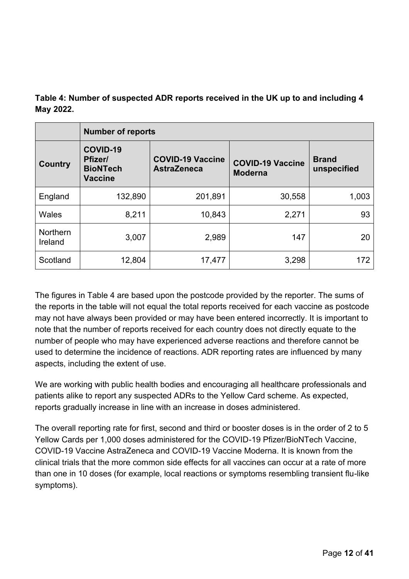| Table 4: Number of suspected ADR reports received in the UK up to and including 4 |  |
|-----------------------------------------------------------------------------------|--|
| May 2022.                                                                         |  |

|                            | <b>Number of reports</b>                                 |                                               |                                           |                             |  |  |  |  |
|----------------------------|----------------------------------------------------------|-----------------------------------------------|-------------------------------------------|-----------------------------|--|--|--|--|
| Country                    | COVID-19<br>Pfizer/<br><b>BioNTech</b><br><b>Vaccine</b> | <b>COVID-19 Vaccine</b><br><b>AstraZeneca</b> | <b>COVID-19 Vaccine</b><br><b>Moderna</b> | <b>Brand</b><br>unspecified |  |  |  |  |
| England                    | 132,890                                                  | 201,891                                       | 30,558                                    | 1,003                       |  |  |  |  |
| Wales                      | 8,211                                                    | 10,843                                        | 2,271                                     | 93                          |  |  |  |  |
| <b>Northern</b><br>Ireland | 3,007                                                    | 2,989                                         | 147                                       | 20                          |  |  |  |  |
| Scotland                   | 12,804                                                   | 17,477                                        | 3,298                                     | 172                         |  |  |  |  |

The figures in Table 4 are based upon the postcode provided by the reporter. The sums of the reports in the table will not equal the total reports received for each vaccine as postcode may not have always been provided or may have been entered incorrectly. It is important to note that the number of reports received for each country does not directly equate to the number of people who may have experienced adverse reactions and therefore cannot be used to determine the incidence of reactions. ADR reporting rates are influenced by many aspects, including the extent of use.

We are working with public health bodies and encouraging all healthcare professionals and patients alike to report any suspected ADRs to the Yellow Card scheme. As expected, reports gradually increase in line with an increase in doses administered.

The overall reporting rate for first, second and third or booster doses is in the order of 2 to 5 Yellow Cards per 1,000 doses administered for the COVID-19 Pfizer/BioNTech Vaccine, COVID-19 Vaccine AstraZeneca and COVID-19 Vaccine Moderna. It is known from the clinical trials that the more common side effects for all vaccines can occur at a rate of more than one in 10 doses (for example, local reactions or symptoms resembling transient flu-like symptoms).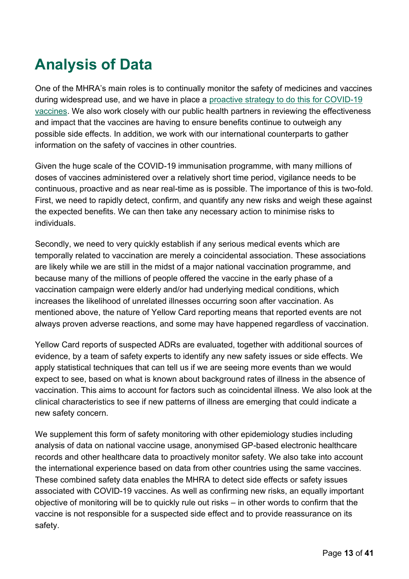# <span id="page-12-0"></span>**Analysis of Data**

One of the MHRA's main roles is to continually monitor the safety of medicines and vaccines during widespread use, and we have in place a [proactive strategy to do this for COVID-19](https://www.gov.uk/government/publications/report-of-the-commission-on-human-medicines-expert-working-group-on-covid-19-vaccine-safety-surveillance)  [vaccines.](https://www.gov.uk/government/publications/report-of-the-commission-on-human-medicines-expert-working-group-on-covid-19-vaccine-safety-surveillance) We also work closely with our public health partners in reviewing the effectiveness and impact that the vaccines are having to ensure benefits continue to outweigh any possible side effects. In addition, we work with our international counterparts to gather information on the safety of vaccines in other countries.

Given the huge scale of the COVID-19 immunisation programme, with many millions of doses of vaccines administered over a relatively short time period, vigilance needs to be continuous, proactive and as near real-time as is possible. The importance of this is two-fold. First, we need to rapidly detect, confirm, and quantify any new risks and weigh these against the expected benefits. We can then take any necessary action to minimise risks to individuals.

Secondly, we need to very quickly establish if any serious medical events which are temporally related to vaccination are merely a coincidental association. These associations are likely while we are still in the midst of a major national vaccination programme, and because many of the millions of people offered the vaccine in the early phase of a vaccination campaign were elderly and/or had underlying medical conditions, which increases the likelihood of unrelated illnesses occurring soon after vaccination. As mentioned above, the nature of Yellow Card reporting means that reported events are not always proven adverse reactions, and some may have happened regardless of vaccination.

Yellow Card reports of suspected ADRs are evaluated, together with additional sources of evidence, by a team of safety experts to identify any new safety issues or side effects. We apply statistical techniques that can tell us if we are seeing more events than we would expect to see, based on what is known about background rates of illness in the absence of vaccination. This aims to account for factors such as coincidental illness. We also look at the clinical characteristics to see if new patterns of illness are emerging that could indicate a new safety concern.

We supplement this form of safety monitoring with other epidemiology studies including analysis of data on national vaccine usage, anonymised GP-based electronic healthcare records and other healthcare data to proactively monitor safety. We also take into account the international experience based on data from other countries using the same vaccines. These combined safety data enables the MHRA to detect side effects or safety issues associated with COVID-19 vaccines. As well as confirming new risks, an equally important objective of monitoring will be to quickly rule out risks – in other words to confirm that the vaccine is not responsible for a suspected side effect and to provide reassurance on its safety.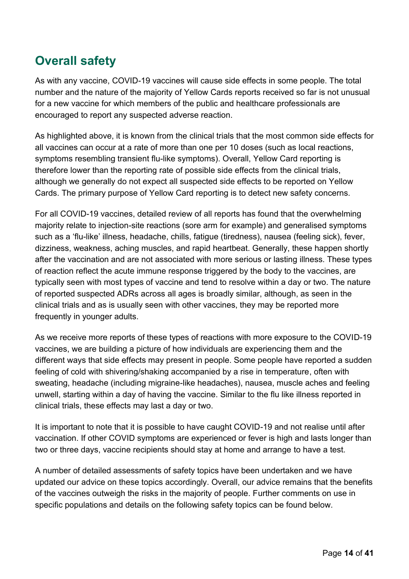## <span id="page-13-0"></span>**Overall safety**

As with any vaccine, COVID-19 vaccines will cause side effects in some people. The total number and the nature of the majority of Yellow Cards reports received so far is not unusual for a new vaccine for which members of the public and healthcare professionals are encouraged to report any suspected adverse reaction.

As highlighted above, it is known from the clinical trials that the most common side effects for all vaccines can occur at a rate of more than one per 10 doses (such as local reactions, symptoms resembling transient flu-like symptoms). Overall, Yellow Card reporting is therefore lower than the reporting rate of possible side effects from the clinical trials, although we generally do not expect all suspected side effects to be reported on Yellow Cards. The primary purpose of Yellow Card reporting is to detect new safety concerns.

For all COVID-19 vaccines, detailed review of all reports has found that the overwhelming majority relate to injection-site reactions (sore arm for example) and generalised symptoms such as a 'flu-like' illness, headache, chills, fatigue (tiredness), nausea (feeling sick), fever, dizziness, weakness, aching muscles, and rapid heartbeat. Generally, these happen shortly after the vaccination and are not associated with more serious or lasting illness. These types of reaction reflect the acute immune response triggered by the body to the vaccines, are typically seen with most types of vaccine and tend to resolve within a day or two. The nature of reported suspected ADRs across all ages is broadly similar, although, as seen in the clinical trials and as is usually seen with other vaccines, they may be reported more frequently in younger adults.

As we receive more reports of these types of reactions with more exposure to the COVID-19 vaccines, we are building a picture of how individuals are experiencing them and the different ways that side effects may present in people. Some people have reported a sudden feeling of cold with shivering/shaking accompanied by a rise in temperature, often with sweating, headache (including migraine-like headaches), nausea, muscle aches and feeling unwell, starting within a day of having the vaccine. Similar to the flu like illness reported in clinical trials, these effects may last a day or two.

It is important to note that it is possible to have caught COVID-19 and not realise until after vaccination. If other COVID symptoms are experienced or fever is high and lasts longer than two or three days, vaccine recipients should stay at home and arrange to have a test.

A number of detailed assessments of safety topics have been undertaken and we have updated our advice on these topics accordingly. Overall, our advice remains that the benefits of the vaccines outweigh the risks in the majority of people. Further comments on use in specific populations and details on the following safety topics can be found below.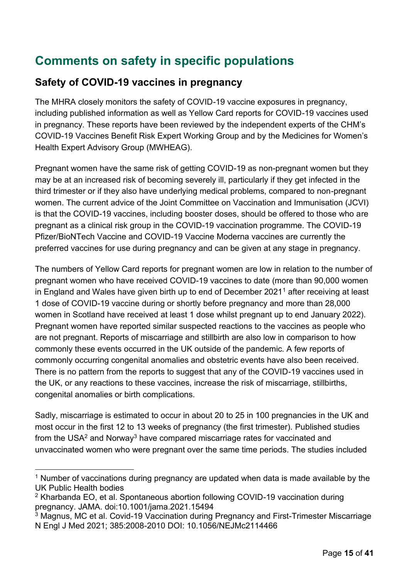## <span id="page-14-0"></span>**Comments on safety in specific populations**

#### **Safety of COVID-19 vaccines in pregnancy**

The MHRA closely monitors the safety of COVID-19 vaccine exposures in pregnancy, including published information as well as Yellow Card reports for COVID-19 vaccines used in pregnancy. These reports have been reviewed by the independent experts of the CHM's COVID-19 Vaccines Benefit Risk Expert Working Group and by the Medicines for Women's Health Expert Advisory Group (MWHEAG).

Pregnant women have the same risk of getting COVID-19 as non-pregnant women but they may be at an increased risk of becoming severely ill, particularly if they get infected in the third trimester or if they also have underlying medical problems, compared to non-pregnant women. The current advice of the Joint Committee on Vaccination and Immunisation (JCVI) is that the COVID-19 vaccines, including booster doses, should be offered to those who are pregnant as a clinical risk group in the COVID-19 vaccination programme. The COVID-19 Pfizer/BioNTech Vaccine and COVID-19 Vaccine Moderna vaccines are currently the preferred vaccines for use during pregnancy and can be given at any stage in pregnancy.

The numbers of Yellow Card reports for pregnant women are low in relation to the number of pregnant women who have received COVID-19 vaccines to date (more than 90,000 women in England and Wales have given birth up to end of December 2021<sup>1</sup> after receiving at least 1 dose of COVID-19 vaccine during or shortly before pregnancy and more than 28,000 women in Scotland have received at least 1 dose whilst pregnant up to end January 2022). Pregnant women have reported similar suspected reactions to the vaccines as people who are not pregnant. Reports of miscarriage and stillbirth are also low in comparison to how commonly these events occurred in the UK outside of the pandemic. A few reports of commonly occurring congenital anomalies and obstetric events have also been received. There is no pattern from the reports to suggest that any of the COVID-19 vaccines used in the UK, or any reactions to these vaccines, increase the risk of miscarriage, stillbirths, congenital anomalies or birth complications.

Sadly, miscarriage is estimated to occur in about 20 to 25 in 100 pregnancies in the UK and most occur in the first 12 to 13 weeks of pregnancy (the first trimester). Published studies from the USA<sup>2</sup> and Norway<sup>3</sup> have compared miscarriage rates for vaccinated and unvaccinated women who were pregnant over the same time periods. The studies included

<sup>&</sup>lt;sup>1</sup> Number of vaccinations during pregnancy are updated when data is made available by the UK Public Health bodies

<sup>&</sup>lt;sup>2</sup> Kharbanda EO, et al. Spontaneous abortion following COVID-19 vaccination during pregnancy. JAMA. doi:10.1001/jama.2021.15494

<sup>&</sup>lt;sup>3</sup> Magnus, MC et al. Covid-19 Vaccination during Pregnancy and First-Trimester Miscarriage N Engl J Med 2021; 385:2008-2010 DOI: 10.1056/NEJMc2114466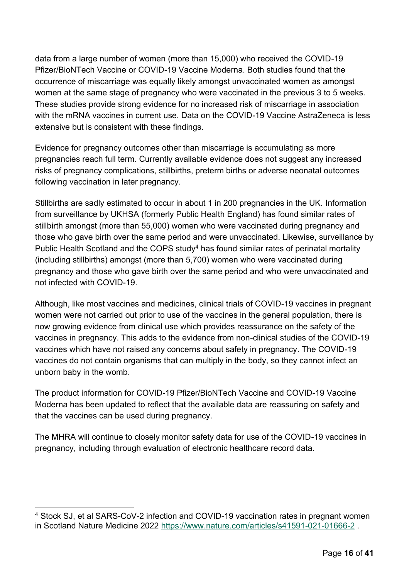data from a large number of women (more than 15,000) who received the COVID-19 Pfizer/BioNTech Vaccine or COVID-19 Vaccine Moderna. Both studies found that the occurrence of miscarriage was equally likely amongst unvaccinated women as amongst women at the same stage of pregnancy who were vaccinated in the previous 3 to 5 weeks. These studies provide strong evidence for no increased risk of miscarriage in association with the mRNA vaccines in current use. Data on the COVID-19 Vaccine AstraZeneca is less extensive but is consistent with these findings.

Evidence for pregnancy outcomes other than miscarriage is accumulating as more pregnancies reach full term. Currently available evidence does not suggest any increased risks of pregnancy complications, stillbirths, preterm births or adverse neonatal outcomes following vaccination in later pregnancy.

Stillbirths are sadly estimated to occur in about 1 in 200 pregnancies in the UK. Information from surveillance by UKHSA (formerly Public Health England) has found similar rates of stillbirth amongst (more than 55,000) women who were vaccinated during pregnancy and those who gave birth over the same period and were unvaccinated. Likewise, surveillance by Public Health Scotland and the COPS study<sup>4</sup> has found similar rates of perinatal mortality (including stillbirths) amongst (more than 5,700) women who were vaccinated during pregnancy and those who gave birth over the same period and who were unvaccinated and not infected with COVID-19.

Although, like most vaccines and medicines, clinical trials of COVID-19 vaccines in pregnant women were not carried out prior to use of the vaccines in the general population, there is now growing evidence from clinical use which provides reassurance on the safety of the vaccines in pregnancy. This adds to the evidence from non-clinical studies of the COVID-19 vaccines which have not raised any concerns about safety in pregnancy. The COVID-19 vaccines do not contain organisms that can multiply in the body, so they cannot infect an unborn baby in the womb.

The product information for COVID-19 Pfizer/BioNTech Vaccine and COVID-19 Vaccine Moderna has been updated to reflect that the available data are reassuring on safety and that the vaccines can be used during pregnancy.

The MHRA will continue to closely monitor safety data for use of the COVID-19 vaccines in pregnancy, including through evaluation of electronic healthcare record data.

<sup>4</sup> Stock SJ, et al SARS-CoV-2 infection and COVID-19 vaccination rates in pregnant women in Scotland Nature Medicine 2022<https://www.nature.com/articles/s41591-021-01666-2> .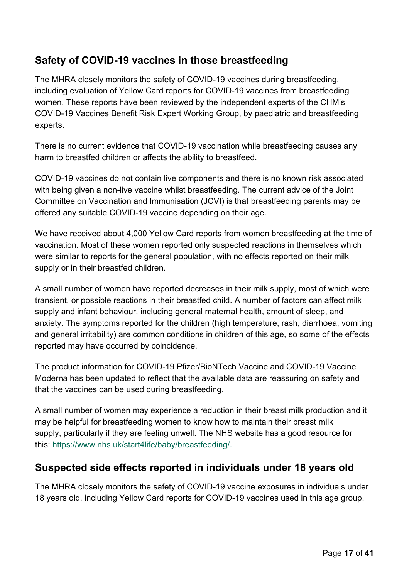### **Safety of COVID-19 vaccines in those breastfeeding**

The MHRA closely monitors the safety of COVID-19 vaccines during breastfeeding, including evaluation of Yellow Card reports for COVID-19 vaccines from breastfeeding women. These reports have been reviewed by the independent experts of the CHM's COVID-19 Vaccines Benefit Risk Expert Working Group, by paediatric and breastfeeding experts.

There is no current evidence that COVID-19 vaccination while breastfeeding causes any harm to breastfed children or affects the ability to breastfeed.

COVID-19 vaccines do not contain live components and there is no known risk associated with being given a non-live vaccine whilst breastfeeding. The current advice of the Joint Committee on Vaccination and Immunisation (JCVI) is that breastfeeding parents may be offered any suitable COVID-19 vaccine depending on their age.

We have received about 4,000 Yellow Card reports from women breastfeeding at the time of vaccination. Most of these women reported only suspected reactions in themselves which were similar to reports for the general population, with no effects reported on their milk supply or in their breastfed children.

A small number of women have reported decreases in their milk supply, most of which were transient, or possible reactions in their breastfed child. A number of factors can affect milk supply and infant behaviour, including general maternal health, amount of sleep, and anxiety. The symptoms reported for the children (high temperature, rash, diarrhoea, vomiting and general irritability) are common conditions in children of this age, so some of the effects reported may have occurred by coincidence.

The product information for COVID-19 Pfizer/BioNTech Vaccine and COVID-19 Vaccine Moderna has been updated to reflect that the available data are reassuring on safety and that the vaccines can be used during breastfeeding.

A small number of women may experience a reduction in their breast milk production and it may be helpful for breastfeeding women to know how to maintain their breast milk supply, particularly if they are feeling unwell. The NHS website has a good resource for this: [https://www.nhs.uk/start4life/baby/breastfeeding/.](https://www.nhs.uk/start4life/baby/breastfeeding/)

#### **Suspected side effects reported in individuals under 18 years old**

The MHRA closely monitors the safety of COVID-19 vaccine exposures in individuals under 18 years old, including Yellow Card reports for COVID-19 vaccines used in this age group.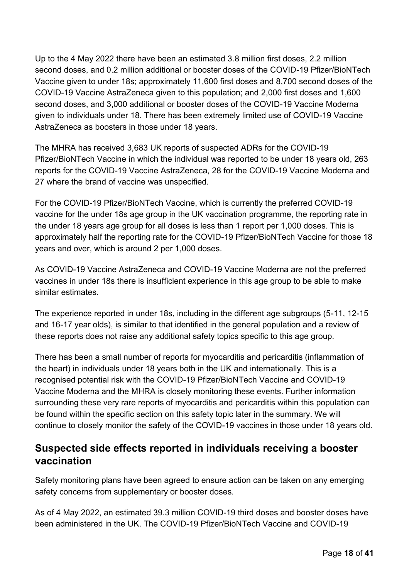Up to the 4 May 2022 there have been an estimated 3.8 million first doses, 2.2 million second doses, and 0.2 million additional or booster doses of the COVID-19 Pfizer/BioNTech Vaccine given to under 18s; approximately 11,600 first doses and 8,700 second doses of the COVID-19 Vaccine AstraZeneca given to this population; and 2,000 first doses and 1,600 second doses, and 3,000 additional or booster doses of the COVID-19 Vaccine Moderna given to individuals under 18. There has been extremely limited use of COVID-19 Vaccine AstraZeneca as boosters in those under 18 years.

The MHRA has received 3,683 UK reports of suspected ADRs for the COVID-19 Pfizer/BioNTech Vaccine in which the individual was reported to be under 18 years old, 263 reports for the COVID-19 Vaccine AstraZeneca, 28 for the COVID-19 Vaccine Moderna and 27 where the brand of vaccine was unspecified.

For the COVID-19 Pfizer/BioNTech Vaccine, which is currently the preferred COVID-19 vaccine for the under 18s age group in the UK vaccination programme, the reporting rate in the under 18 years age group for all doses is less than 1 report per 1,000 doses. This is approximately half the reporting rate for the COVID-19 Pfizer/BioNTech Vaccine for those 18 years and over, which is around 2 per 1,000 doses.

As COVID-19 Vaccine AstraZeneca and COVID-19 Vaccine Moderna are not the preferred vaccines in under 18s there is insufficient experience in this age group to be able to make similar estimates.

The experience reported in under 18s, including in the different age subgroups (5-11, 12-15 and 16-17 year olds), is similar to that identified in the general population and a review of these reports does not raise any additional safety topics specific to this age group.

There has been a small number of reports for myocarditis and pericarditis (inflammation of the heart) in individuals under 18 years both in the UK and internationally. This is a recognised potential risk with the COVID-19 Pfizer/BioNTech Vaccine and COVID-19 Vaccine Moderna and the MHRA is closely monitoring these events. Further information surrounding these very rare reports of myocarditis and pericarditis within this population can be found within the specific section on this safety topic later in the summary. We will continue to closely monitor the safety of the COVID-19 vaccines in those under 18 years old.

#### **Suspected side effects reported in individuals receiving a booster vaccination**

Safety monitoring plans have been agreed to ensure action can be taken on any emerging safety concerns from supplementary or booster doses.

As of 4 May 2022, an estimated 39.3 million COVID-19 third doses and booster doses have been administered in the UK. The COVID-19 Pfizer/BioNTech Vaccine and COVID-19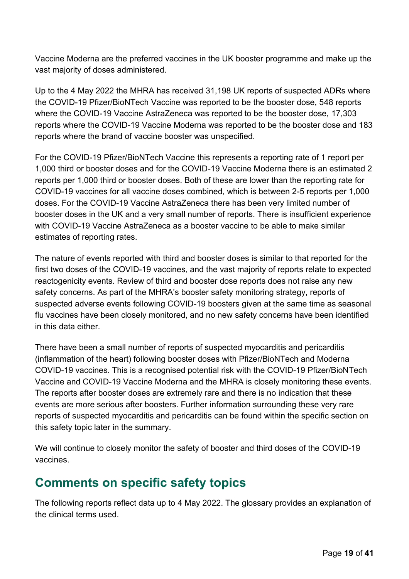Vaccine Moderna are the preferred vaccines in the UK booster programme and make up the vast majority of doses administered.

Up to the 4 May 2022 the MHRA has received 31,198 UK reports of suspected ADRs where the COVID-19 Pfizer/BioNTech Vaccine was reported to be the booster dose, 548 reports where the COVID-19 Vaccine AstraZeneca was reported to be the booster dose, 17,303 reports where the COVID-19 Vaccine Moderna was reported to be the booster dose and 183 reports where the brand of vaccine booster was unspecified.

For the COVID-19 Pfizer/BioNTech Vaccine this represents a reporting rate of 1 report per 1,000 third or booster doses and for the COVID-19 Vaccine Moderna there is an estimated 2 reports per 1,000 third or booster doses. Both of these are lower than the reporting rate for COVID-19 vaccines for all vaccine doses combined, which is between 2-5 reports per 1,000 doses. For the COVID-19 Vaccine AstraZeneca there has been very limited number of booster doses in the UK and a very small number of reports. There is insufficient experience with COVID-19 Vaccine AstraZeneca as a booster vaccine to be able to make similar estimates of reporting rates.

The nature of events reported with third and booster doses is similar to that reported for the first two doses of the COVID-19 vaccines, and the vast majority of reports relate to expected reactogenicity events. Review of third and booster dose reports does not raise any new safety concerns. As part of the MHRA's booster safety monitoring strategy, reports of suspected adverse events following COVID-19 boosters given at the same time as seasonal flu vaccines have been closely monitored, and no new safety concerns have been identified in this data either.

There have been a small number of reports of suspected myocarditis and pericarditis (inflammation of the heart) following booster doses with Pfizer/BioNTech and Moderna COVID-19 vaccines. This is a recognised potential risk with the COVID-19 Pfizer/BioNTech Vaccine and COVID-19 Vaccine Moderna and the MHRA is closely monitoring these events. The reports after booster doses are extremely rare and there is no indication that these events are more serious after boosters. Further information surrounding these very rare reports of suspected myocarditis and pericarditis can be found within the specific section on this safety topic later in the summary.

We will continue to closely monitor the safety of booster and third doses of the COVID-19 vaccines.

### <span id="page-18-0"></span>**Comments on specific safety topics**

The following reports reflect data up to 4 May 2022. The glossary provides an explanation of the clinical terms used.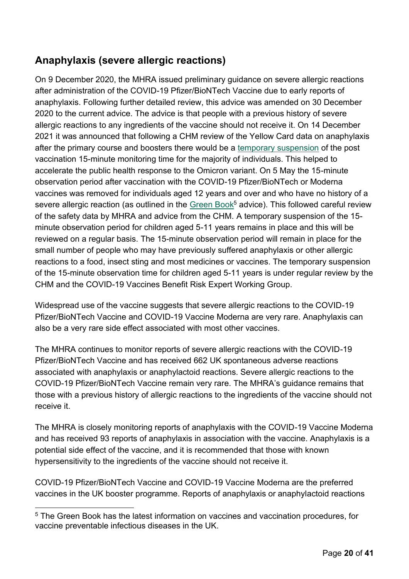### **Anaphylaxis (severe allergic reactions)**

On 9 December 2020, the MHRA issued preliminary guidance on severe allergic reactions after administration of the COVID-19 Pfizer/BioNTech Vaccine due to early reports of anaphylaxis. Following further detailed review, this advice was amended on 30 December 2020 to the current advice. The advice is that people with a previous history of severe allergic reactions to any ingredients of the vaccine should not receive it. On 14 December 2021 it was announced that following a CHM review of the Yellow Card data on anaphylaxis after the primary course and boosters there would be a [temporary suspension](https://www.gov.uk/government/news/temporary-waiver-of-15-minute-observation-period-after-covid-19-mrna-vaccines) of the post vaccination 15-minute monitoring time for the majority of individuals. This helped to accelerate the public health response to the Omicron variant. On 5 May the 15-minute observation period after vaccination with the COVID-19 Pfizer/BioNTech or Moderna vaccines was removed for individuals aged 12 years and over and who have no history of a severe allergic reaction (as outlined in the [Green](https://assets.publishing.service.gov.uk/government/uploads/system/uploads/attachment_data/file/1057798/Greenbook-chapter-14a-28Feb22.pdf) Book<sup>5</sup> advice). This followed careful review of the safety data by MHRA and advice from the CHM. A temporary suspension of the 15 minute observation period for children aged 5-11 years remains in place and this will be reviewed on a regular basis. The 15-minute observation period will remain in place for the small number of people who may have previously suffered anaphylaxis or other allergic reactions to a food, insect sting and most medicines or vaccines. The temporary suspension of the 15-minute observation time for children aged 5-11 years is under regular review by the CHM and the COVID-19 Vaccines Benefit Risk Expert Working Group.

Widespread use of the vaccine suggests that severe allergic reactions to the COVID-19 Pfizer/BioNTech Vaccine and COVID-19 Vaccine Moderna are very rare. Anaphylaxis can also be a very rare side effect associated with most other vaccines.

The MHRA continues to monitor reports of severe allergic reactions with the COVID-19 Pfizer/BioNTech Vaccine and has received 662 UK spontaneous adverse reactions associated with anaphylaxis or anaphylactoid reactions. Severe allergic reactions to the COVID-19 Pfizer/BioNTech Vaccine remain very rare. The MHRA's guidance remains that those with a previous history of allergic reactions to the ingredients of the vaccine should not receive it.

The MHRA is closely monitoring reports of anaphylaxis with the COVID-19 Vaccine Moderna and has received 93 reports of anaphylaxis in association with the vaccine. Anaphylaxis is a potential side effect of the vaccine, and it is recommended that those with known hypersensitivity to the ingredients of the vaccine should not receive it.

COVID-19 Pfizer/BioNTech Vaccine and COVID-19 Vaccine Moderna are the preferred vaccines in the UK booster programme. Reports of anaphylaxis or anaphylactoid reactions

<sup>&</sup>lt;sup>5</sup> The Green Book has the latest information on vaccines and vaccination procedures, for vaccine preventable infectious diseases in the UK.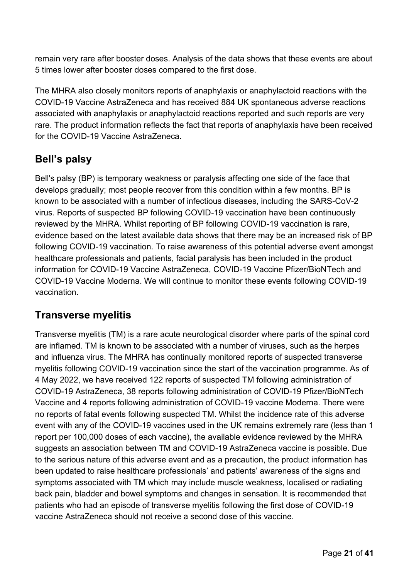remain very rare after booster doses. Analysis of the data shows that these events are about 5 times lower after booster doses compared to the first dose.

The MHRA also closely monitors reports of anaphylaxis or anaphylactoid reactions with the COVID-19 Vaccine AstraZeneca and has received 884 UK spontaneous adverse reactions associated with anaphylaxis or anaphylactoid reactions reported and such reports are very rare. The product information reflects the fact that reports of anaphylaxis have been received for the COVID-19 Vaccine AstraZeneca.

### **Bell's palsy**

Bell's palsy (BP) is temporary weakness or paralysis affecting one side of the face that develops gradually; most people recover from this condition within a few months. BP is known to be associated with a number of infectious diseases, including the SARS-CoV-2 virus. Reports of suspected BP following COVID-19 vaccination have been continuously reviewed by the MHRA. Whilst reporting of BP following COVID-19 vaccination is rare, evidence based on the latest available data shows that there may be an increased risk of BP following COVID-19 vaccination. To raise awareness of this potential adverse event amongst healthcare professionals and patients, facial paralysis has been included in the product information for COVID-19 Vaccine AstraZeneca, COVID-19 Vaccine Pfizer/BioNTech and COVID-19 Vaccine Moderna. We will continue to monitor these events following COVID-19 vaccination.

#### **Transverse myelitis**

Transverse myelitis (TM) is a rare acute neurological disorder where parts of the spinal cord are inflamed. TM is known to be associated with a number of viruses, such as the herpes and influenza virus. The MHRA has continually monitored reports of suspected transverse myelitis following COVID-19 vaccination since the start of the vaccination programme. As of 4 May 2022, we have received 122 reports of suspected TM following administration of COVID-19 AstraZeneca, 38 reports following administration of COVID-19 Pfizer/BioNTech Vaccine and 4 reports following administration of COVID-19 vaccine Moderna. There were no reports of fatal events following suspected TM. Whilst the incidence rate of this adverse event with any of the COVID-19 vaccines used in the UK remains extremely rare (less than 1 report per 100,000 doses of each vaccine), the available evidence reviewed by the MHRA suggests an association between TM and COVID-19 AstraZeneca vaccine is possible. Due to the serious nature of this adverse event and as a precaution, the product information has been updated to raise healthcare professionals' and patients' awareness of the signs and symptoms associated with TM which may include muscle weakness, localised or radiating back pain, bladder and bowel symptoms and changes in sensation. It is recommended that patients who had an episode of transverse myelitis following the first dose of COVID-19 vaccine AstraZeneca should not receive a second dose of this vaccine.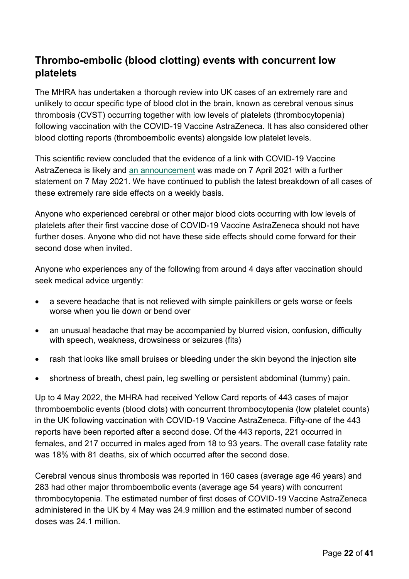#### **Thrombo-embolic (blood clotting) events with concurrent low platelets**

The MHRA has undertaken a thorough review into UK cases of an extremely rare and unlikely to occur specific type of blood clot in the brain, known as cerebral venous sinus thrombosis (CVST) occurring together with low levels of platelets (thrombocytopenia) following vaccination with the COVID-19 Vaccine AstraZeneca. It has also considered other blood clotting reports (thromboembolic events) alongside low platelet levels.

This scientific review concluded that the evidence of a link with COVID-19 Vaccine AstraZeneca is likely and [an announcement](https://www.gov.uk/government/news/mhra-issues-new-advice-concluding-a-possible-link-between-covid-19-vaccine-astrazeneca-and-extremely-rare-unlikely-to-occur-blood-clots) was made on 7 April 2021 with a further statement on 7 May 2021. We have continued to publish the latest breakdown of all cases of these extremely rare side effects on a weekly basis.

Anyone who experienced cerebral or other major blood clots occurring with low levels of platelets after their first vaccine dose of COVID-19 Vaccine AstraZeneca should not have further doses. Anyone who did not have these side effects should come forward for their second dose when invited.

Anyone who experiences any of the following from around 4 days after vaccination should seek medical advice urgently:

- a severe headache that is not relieved with simple painkillers or gets worse or feels worse when you lie down or bend over
- an unusual headache that may be accompanied by blurred vision, confusion, difficulty with speech, weakness, drowsiness or seizures (fits)
- rash that looks like small bruises or bleeding under the skin beyond the injection site
- shortness of breath, chest pain, leg swelling or persistent abdominal (tummy) pain.

Up to 4 May 2022, the MHRA had received Yellow Card reports of 443 cases of major thromboembolic events (blood clots) with concurrent thrombocytopenia (low platelet counts) in the UK following vaccination with COVID-19 Vaccine AstraZeneca. Fifty-one of the 443 reports have been reported after a second dose. Of the 443 reports, 221 occurred in females, and 217 occurred in males aged from 18 to 93 years. The overall case fatality rate was 18% with 81 deaths, six of which occurred after the second dose.

Cerebral venous sinus thrombosis was reported in 160 cases (average age 46 years) and 283 had other major thromboembolic events (average age 54 years) with concurrent thrombocytopenia. The estimated number of first doses of COVID-19 Vaccine AstraZeneca administered in the UK by 4 May was 24.9 million and the estimated number of second doses was 24.1 million.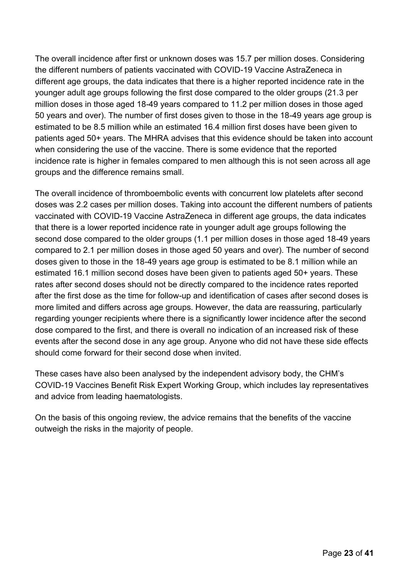The overall incidence after first or unknown doses was 15.7 per million doses. Considering the different numbers of patients vaccinated with COVID-19 Vaccine AstraZeneca in different age groups, the data indicates that there is a higher reported incidence rate in the younger adult age groups following the first dose compared to the older groups (21.3 per million doses in those aged 18-49 years compared to 11.2 per million doses in those aged 50 years and over). The number of first doses given to those in the 18-49 years age group is estimated to be 8.5 million while an estimated 16.4 million first doses have been given to patients aged 50+ years. The MHRA advises that this evidence should be taken into account when considering the use of the vaccine. There is some evidence that the reported incidence rate is higher in females compared to men although this is not seen across all age groups and the difference remains small.

The overall incidence of thromboembolic events with concurrent low platelets after second doses was 2.2 cases per million doses. Taking into account the different numbers of patients vaccinated with COVID-19 Vaccine AstraZeneca in different age groups, the data indicates that there is a lower reported incidence rate in younger adult age groups following the second dose compared to the older groups (1.1 per million doses in those aged 18-49 years compared to 2.1 per million doses in those aged 50 years and over). The number of second doses given to those in the 18-49 years age group is estimated to be 8.1 million while an estimated 16.1 million second doses have been given to patients aged 50+ years. These rates after second doses should not be directly compared to the incidence rates reported after the first dose as the time for follow-up and identification of cases after second doses is more limited and differs across age groups. However, the data are reassuring, particularly regarding younger recipients where there is a significantly lower incidence after the second dose compared to the first, and there is overall no indication of an increased risk of these events after the second dose in any age group. Anyone who did not have these side effects should come forward for their second dose when invited.

These cases have also been analysed by the independent advisory body, the CHM's COVID-19 Vaccines Benefit Risk Expert Working Group, which includes lay representatives and advice from leading haematologists.

On the basis of this ongoing review, the advice remains that the benefits of the vaccine outweigh the risks in the majority of people.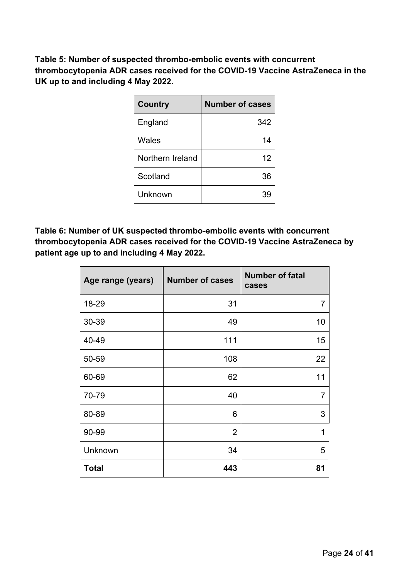**Table 5: Number of suspected thrombo-embolic events with concurrent thrombocytopenia ADR cases received for the COVID-19 Vaccine AstraZeneca in the UK up to and including 4 May 2022.**

| <b>Country</b>   | <b>Number of cases</b> |
|------------------|------------------------|
| England          | 342                    |
| Wales            | 14                     |
| Northern Ireland | 12                     |
| Scotland         | 36                     |
| Unknown          |                        |

**Table 6: Number of UK suspected thrombo-embolic events with concurrent thrombocytopenia ADR cases received for the COVID-19 Vaccine AstraZeneca by patient age up to and including 4 May 2022.**

| Age range (years) | <b>Number of cases</b> | <b>Number of fatal</b><br>cases |
|-------------------|------------------------|---------------------------------|
| 18-29             | 31                     | $\overline{7}$                  |
| 30-39             | 49                     | 10                              |
| 40-49             | 111                    | 15                              |
| 50-59             | 108                    | 22                              |
| 60-69             | 62                     | 11                              |
| 70-79             | 40                     | $\overline{7}$                  |
| 80-89             | 6                      | 3                               |
| 90-99             | $\overline{2}$         | 1                               |
| Unknown           | 34                     | 5                               |
| <b>Total</b>      | 443                    | 81                              |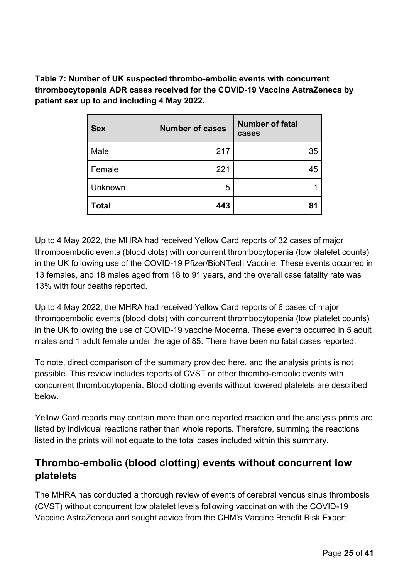**Table 7: Number of UK suspected thrombo-embolic events with concurrent thrombocytopenia ADR cases received for the COVID-19 Vaccine AstraZeneca by patient sex up to and including 4 May 2022.**

| <b>Sex</b>     | <b>Number of cases</b> | <b>Number of fatal</b><br>cases |
|----------------|------------------------|---------------------------------|
| Male           | 217                    | 35                              |
| Female         | 221                    | 45                              |
| <b>Unknown</b> | 5                      |                                 |
| <b>Total</b>   | 443                    | 81                              |

Up to 4 May 2022, the MHRA had received Yellow Card reports of 32 cases of major thromboembolic events (blood clots) with concurrent thrombocytopenia (low platelet counts) in the UK following use of the COVID-19 Pfizer/BioNTech Vaccine. These events occurred in 13 females, and 18 males aged from 18 to 91 years, and the overall case fatality rate was 13% with four deaths reported.

Up to 4 May 2022, the MHRA had received Yellow Card reports of 6 cases of major thromboembolic events (blood clots) with concurrent thrombocytopenia (low platelet counts) in the UK following the use of COVID-19 vaccine Moderna. These events occurred in 5 adult males and 1 adult female under the age of 85. There have been no fatal cases reported.

To note, direct comparison of the summary provided here, and the analysis prints is not possible. This review includes reports of CVST or other thrombo-embolic events with concurrent thrombocytopenia. Blood clotting events without lowered platelets are described below.

Yellow Card reports may contain more than one reported reaction and the analysis prints are listed by individual reactions rather than whole reports. Therefore, summing the reactions listed in the prints will not equate to the total cases included within this summary.

#### **Thrombo-embolic (blood clotting) events without concurrent low platelets**

The MHRA has conducted a thorough review of events of cerebral venous sinus thrombosis (CVST) without concurrent low platelet levels following vaccination with the COVID-19 Vaccine AstraZeneca and sought advice from the CHM's Vaccine Benefit Risk Expert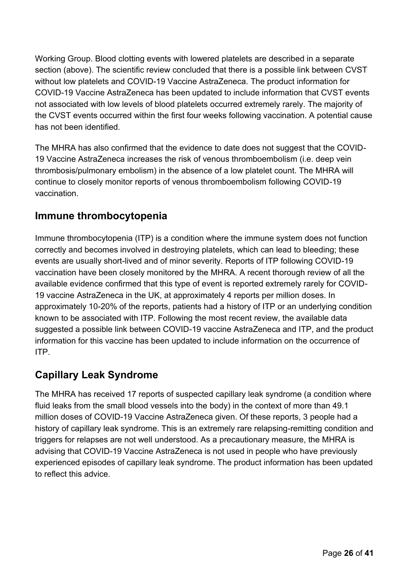Working Group. Blood clotting events with lowered platelets are described in a separate section (above). The scientific review concluded that there is a possible link between CVST without low platelets and COVID-19 Vaccine AstraZeneca. The product information for COVID-19 Vaccine AstraZeneca has been updated to include information that CVST events not associated with low levels of blood platelets occurred extremely rarely. The majority of the CVST events occurred within the first four weeks following vaccination. A potential cause has not been identified.

The MHRA has also confirmed that the evidence to date does not suggest that the COVID-19 Vaccine AstraZeneca increases the risk of venous thromboembolism (i.e. deep vein thrombosis/pulmonary embolism) in the absence of a low platelet count. The MHRA will continue to closely monitor reports of venous thromboembolism following COVID-19 vaccination.

#### **Immune thrombocytopenia**

Immune thrombocytopenia (ITP) is a condition where the immune system does not function correctly and becomes involved in destroying platelets, which can lead to bleeding; these events are usually short-lived and of minor severity. Reports of ITP following COVID-19 vaccination have been closely monitored by the MHRA. A recent thorough review of all the available evidence confirmed that this type of event is reported extremely rarely for COVID-19 vaccine AstraZeneca in the UK, at approximately 4 reports per million doses. In approximately 10-20% of the reports, patients had a history of ITP or an underlying condition known to be associated with ITP. Following the most recent review, the available data suggested a possible link between COVID-19 vaccine AstraZeneca and ITP, and the product information for this vaccine has been updated to include information on the occurrence of ITP.

#### **Capillary Leak Syndrome**

The MHRA has received 17 reports of suspected capillary leak syndrome (a condition where fluid leaks from the small blood vessels into the body) in the context of more than 49.1 million doses of COVID-19 Vaccine AstraZeneca given. Of these reports, 3 people had a history of capillary leak syndrome. This is an extremely rare relapsing-remitting condition and triggers for relapses are not well understood. As a precautionary measure, the MHRA is advising that COVID-19 Vaccine AstraZeneca is not used in people who have previously experienced episodes of capillary leak syndrome. The product information has been updated to reflect this advice.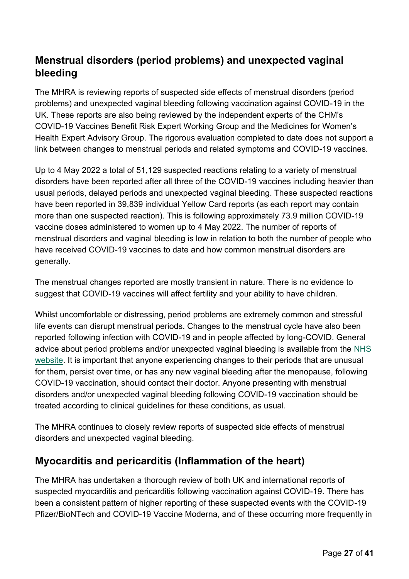### **Menstrual disorders (period problems) and unexpected vaginal bleeding**

The MHRA is reviewing reports of suspected side effects of menstrual disorders (period problems) and unexpected vaginal bleeding following vaccination against COVID-19 in the UK. These reports are also being reviewed by the independent experts of the CHM's COVID-19 Vaccines Benefit Risk Expert Working Group and the Medicines for Women's Health Expert Advisory Group. The rigorous evaluation completed to date does not support a link between changes to menstrual periods and related symptoms and COVID-19 vaccines.

Up to 4 May 2022 a total of 51,129 suspected reactions relating to a variety of menstrual disorders have been reported after all three of the COVID-19 vaccines including heavier than usual periods, delayed periods and unexpected vaginal bleeding. These suspected reactions have been reported in 39,839 individual Yellow Card reports (as each report may contain more than one suspected reaction). This is following approximately 73.9 million COVID-19 vaccine doses administered to women up to 4 May 2022. The number of reports of menstrual disorders and vaginal bleeding is low in relation to both the number of people who have received COVID-19 vaccines to date and how common menstrual disorders are generally.

The menstrual changes reported are mostly transient in nature. There is no evidence to suggest that COVID-19 vaccines will affect fertility and your ability to have children.

Whilst uncomfortable or distressing, period problems are extremely common and stressful life events can disrupt menstrual periods. Changes to the menstrual cycle have also been reported following infection with COVID-19 and in people affected by long-COVID. General advice about period problems and/or unexpected vaginal bleeding is available from the [NHS](https://www.nhs.uk/conditions/periods/)  [website.](https://www.nhs.uk/conditions/periods/) It is important that anyone experiencing changes to their periods that are unusual for them, persist over time, or has any new vaginal bleeding after the menopause, following COVID-19 vaccination, should contact their doctor. Anyone presenting with menstrual disorders and/or unexpected vaginal bleeding following COVID-19 vaccination should be treated according to clinical guidelines for these conditions, as usual.

The MHRA continues to closely review reports of suspected side effects of menstrual disorders and unexpected vaginal bleeding.

#### **Myocarditis and pericarditis (Inflammation of the heart)**

The MHRA has undertaken a thorough review of both UK and international reports of suspected myocarditis and pericarditis following vaccination against COVID-19. There has been a consistent pattern of higher reporting of these suspected events with the COVID-19 Pfizer/BioNTech and COVID-19 Vaccine Moderna, and of these occurring more frequently in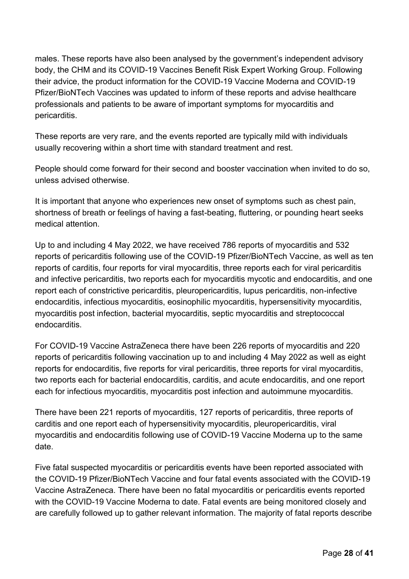males. These reports have also been analysed by the government's independent advisory body, the CHM and its COVID-19 Vaccines Benefit Risk Expert Working Group. Following their advice, the product information for the COVID-19 Vaccine Moderna and COVID-19 Pfizer/BioNTech Vaccines was updated to inform of these reports and advise healthcare professionals and patients to be aware of important symptoms for myocarditis and pericarditis.

These reports are very rare, and the events reported are typically mild with individuals usually recovering within a short time with standard treatment and rest.

People should come forward for their second and booster vaccination when invited to do so, unless advised otherwise.

It is important that anyone who experiences new onset of symptoms such as chest pain, shortness of breath or feelings of having a fast-beating, fluttering, or pounding heart seeks medical attention.

Up to and including 4 May 2022, we have received 786 reports of myocarditis and 532 reports of pericarditis following use of the COVID-19 Pfizer/BioNTech Vaccine, as well as ten reports of carditis, four reports for viral myocarditis, three reports each for viral pericarditis and infective pericarditis, two reports each for myocarditis mycotic and endocarditis, and one report each of constrictive pericarditis, pleuropericarditis, lupus pericarditis, non-infective endocarditis, infectious myocarditis, eosinophilic myocarditis, hypersensitivity myocarditis, myocarditis post infection, bacterial myocarditis, septic myocarditis and streptococcal endocarditis.

For COVID-19 Vaccine AstraZeneca there have been 226 reports of myocarditis and 220 reports of pericarditis following vaccination up to and including 4 May 2022 as well as eight reports for endocarditis, five reports for viral pericarditis, three reports for viral myocarditis, two reports each for bacterial endocarditis, carditis, and acute endocarditis, and one report each for infectious myocarditis, myocarditis post infection and autoimmune myocarditis.

There have been 221 reports of myocarditis, 127 reports of pericarditis, three reports of carditis and one report each of hypersensitivity myocarditis, pleuropericarditis, viral myocarditis and endocarditis following use of COVID-19 Vaccine Moderna up to the same date.

Five fatal suspected myocarditis or pericarditis events have been reported associated with the COVID-19 Pfizer/BioNTech Vaccine and four fatal events associated with the COVID-19 Vaccine AstraZeneca. There have been no fatal myocarditis or pericarditis events reported with the COVID-19 Vaccine Moderna to date. Fatal events are being monitored closely and are carefully followed up to gather relevant information. The majority of fatal reports describe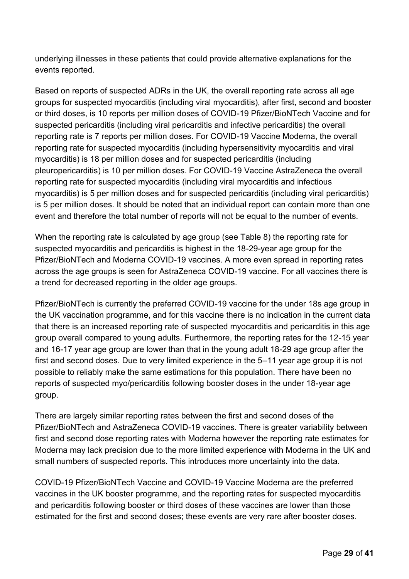underlying illnesses in these patients that could provide alternative explanations for the events reported.

Based on reports of suspected ADRs in the UK, the overall reporting rate across all age groups for suspected myocarditis (including viral myocarditis), after first, second and booster or third doses, is 10 reports per million doses of COVID-19 Pfizer/BioNTech Vaccine and for suspected pericarditis (including viral pericarditis and infective pericarditis) the overall reporting rate is 7 reports per million doses. For COVID-19 Vaccine Moderna, the overall reporting rate for suspected myocarditis (including hypersensitivity myocarditis and viral myocarditis) is 18 per million doses and for suspected pericarditis (including pleuropericarditis) is 10 per million doses. For COVID-19 Vaccine AstraZeneca the overall reporting rate for suspected myocarditis (including viral myocarditis and infectious myocarditis) is 5 per million doses and for suspected pericarditis (including viral pericarditis) is 5 per million doses. It should be noted that an individual report can contain more than one event and therefore the total number of reports will not be equal to the number of events.

When the reporting rate is calculated by age group (see Table 8) the reporting rate for suspected myocarditis and pericarditis is highest in the 18-29-year age group for the Pfizer/BioNTech and Moderna COVID-19 vaccines. A more even spread in reporting rates across the age groups is seen for AstraZeneca COVID-19 vaccine. For all vaccines there is a trend for decreased reporting in the older age groups.

Pfizer/BioNTech is currently the preferred COVID-19 vaccine for the under 18s age group in the UK vaccination programme, and for this vaccine there is no indication in the current data that there is an increased reporting rate of suspected myocarditis and pericarditis in this age group overall compared to young adults. Furthermore, the reporting rates for the 12-15 year and 16-17 year age group are lower than that in the young adult 18-29 age group after the first and second doses. Due to very limited experience in the 5–11 year age group it is not possible to reliably make the same estimations for this population. There have been no reports of suspected myo/pericarditis following booster doses in the under 18-year age group.

There are largely similar reporting rates between the first and second doses of the Pfizer/BioNTech and AstraZeneca COVID-19 vaccines. There is greater variability between first and second dose reporting rates with Moderna however the reporting rate estimates for Moderna may lack precision due to the more limited experience with Moderna in the UK and small numbers of suspected reports. This introduces more uncertainty into the data.

COVID-19 Pfizer/BioNTech Vaccine and COVID-19 Vaccine Moderna are the preferred vaccines in the UK booster programme, and the reporting rates for suspected myocarditis and pericarditis following booster or third doses of these vaccines are lower than those estimated for the first and second doses; these events are very rare after booster doses.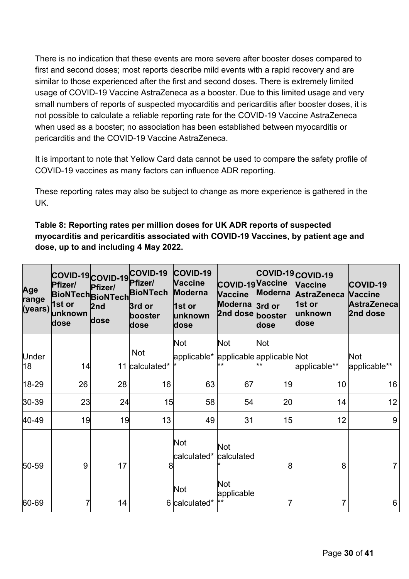There is no indication that these events are more severe after booster doses compared to first and second doses; most reports describe mild events with a rapid recovery and are similar to those experienced after the first and second doses. There is extremely limited usage of COVID-19 Vaccine AstraZeneca as a booster. Due to this limited usage and very small numbers of reports of suspected myocarditis and pericarditis after booster doses, it is not possible to calculate a reliable reporting rate for the COVID-19 Vaccine AstraZeneca when used as a booster; no association has been established between myocarditis or pericarditis and the COVID-19 Vaccine AstraZeneca.

It is important to note that Yellow Card data cannot be used to compare the safety profile of COVID-19 vaccines as many factors can influence ADR reporting.

These reporting rates may also be subject to change as more experience is gathered in the UK.

#### **Table 8: Reporting rates per million doses for UK ADR reports of suspected myocarditis and pericarditis associated with COVID-19 Vaccines, by patient age and dose, up to and including 4 May 2022.**

| Age<br>range | COVID-19 COVID-19<br>Pfizer/<br><b>BioNTech BioNTech</b><br>$\vert$ 1st or<br>(years) unknown<br>dose | Pfizer/<br>2nd<br>dose | COVID-19<br>Pfizer/<br><b>BioNTech</b><br>3rd or<br>booster<br>dose | COVID-19<br><b>Vaccine</b><br><b>Moderna</b><br>1st or<br>unknown<br>dose | COVID-19 Vaccine<br><b>Vaccine</b><br><b>Moderna</b><br>2nd dose booster | <b>Moderna</b><br>3rd or<br>dose | COVID-19 COVID-19<br><b>Vaccine</b><br><b>AstraZeneca</b><br>1st or<br>unknown<br>dose | COVID-19<br><b>Vaccine</b><br><b>AstraZeneca</b><br>2nd dose |
|--------------|-------------------------------------------------------------------------------------------------------|------------------------|---------------------------------------------------------------------|---------------------------------------------------------------------------|--------------------------------------------------------------------------|----------------------------------|----------------------------------------------------------------------------------------|--------------------------------------------------------------|
|              |                                                                                                       |                        |                                                                     | <b>Not</b>                                                                | <b>Not</b>                                                               | <b>Not</b>                       |                                                                                        |                                                              |
| Under<br>18  | 14                                                                                                    | 11                     | <b>Not</b><br>calculated*                                           | applicable* applicable applicable Not                                     |                                                                          |                                  | applicable**                                                                           | <b>Not</b><br>applicable**                                   |
| 18-29        | 26                                                                                                    | 28                     | 16                                                                  | 63                                                                        | 67                                                                       | 19                               | 10                                                                                     | 16                                                           |
| 30-39        | 23                                                                                                    | 24                     | 15                                                                  | 58                                                                        | 54                                                                       | 20                               | 14                                                                                     | 12 <sub>2</sub>                                              |
| 40-49        | 19                                                                                                    | 19                     | 13                                                                  | 49                                                                        | 31                                                                       | 15                               | 12                                                                                     | 9                                                            |
| 50-59        | 9                                                                                                     | 17                     | 8                                                                   | <b>Not</b><br>calculated*                                                 | <b>Not</b><br>calculated                                                 | 8                                | 8                                                                                      | $\overline{7}$                                               |
| 60-69        |                                                                                                       | 14                     |                                                                     | Not<br>6 calculated*                                                      | <b>Not</b><br>applicable                                                 |                                  |                                                                                        | 6                                                            |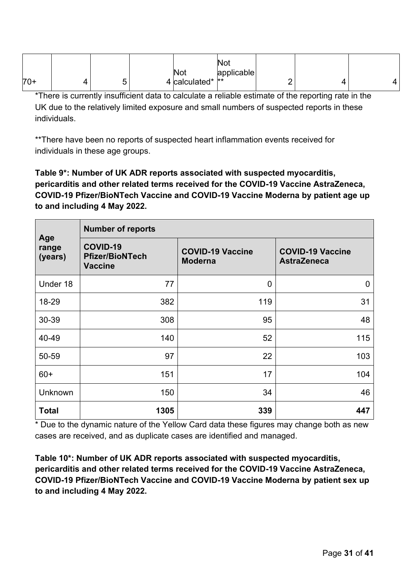|       |   | Not               | vv.<br>applicable |   |  |
|-------|---|-------------------|-------------------|---|--|
| $70+$ | ີ | 4 calculated*  ** |                   | - |  |

\*There is currently insufficient data to calculate a reliable estimate of the reporting rate in the UK due to the relatively limited exposure and small numbers of suspected reports in these individuals.

\*\*There have been no reports of suspected heart inflammation events received for individuals in these age groups.

**Table 9\*: Number of UK ADR reports associated with suspected myocarditis, pericarditis and other related terms received for the COVID-19 Vaccine AstraZeneca, COVID-19 Pfizer/BioNTech Vaccine and COVID-19 Vaccine Moderna by patient age up to and including 4 May 2022.** 

|                         | <b>Number of reports</b>                             |                                           |                                               |  |  |  |  |
|-------------------------|------------------------------------------------------|-------------------------------------------|-----------------------------------------------|--|--|--|--|
| Age<br>range<br>(years) | COVID-19<br><b>Pfizer/BioNTech</b><br><b>Vaccine</b> | <b>COVID-19 Vaccine</b><br><b>Moderna</b> | <b>COVID-19 Vaccine</b><br><b>AstraZeneca</b> |  |  |  |  |
| Under 18                | 77                                                   | $\overline{0}$                            | $\mathbf 0$                                   |  |  |  |  |
| 18-29                   | 382                                                  | 119                                       | 31                                            |  |  |  |  |
| 30-39                   | 308                                                  | 95                                        | 48                                            |  |  |  |  |
| 40-49                   | 140                                                  | 52                                        | 115                                           |  |  |  |  |
| 50-59                   | 97                                                   | 22                                        | 103                                           |  |  |  |  |
| $60+$                   | 151                                                  | 17                                        | 104                                           |  |  |  |  |
| Unknown                 | 150                                                  | 34                                        | 46                                            |  |  |  |  |
| <b>Total</b>            | 1305                                                 | 339                                       | 447                                           |  |  |  |  |

\* Due to the dynamic nature of the Yellow Card data these figures may change both as new cases are received, and as duplicate cases are identified and managed.

**Table 10\*: Number of UK ADR reports associated with suspected myocarditis, pericarditis and other related terms received for the COVID-19 Vaccine AstraZeneca, COVID-19 Pfizer/BioNTech Vaccine and COVID-19 Vaccine Moderna by patient sex up to and including 4 May 2022.**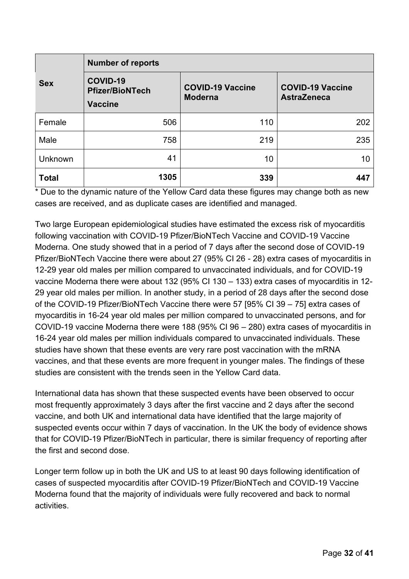| <b>Sex</b>     | <b>Number of reports</b>                                    |                                           |                                               |
|----------------|-------------------------------------------------------------|-------------------------------------------|-----------------------------------------------|
|                | <b>COVID-19</b><br><b>Pfizer/BioNTech</b><br><b>Vaccine</b> | <b>COVID-19 Vaccine</b><br><b>Moderna</b> | <b>COVID-19 Vaccine</b><br><b>AstraZeneca</b> |
| Female         | 506                                                         | 110                                       | 202                                           |
| Male           | 758                                                         | 219                                       | 235                                           |
| <b>Unknown</b> | 41                                                          | 10                                        | 10                                            |
| <b>Total</b>   | 1305                                                        | 339                                       | 447                                           |

\* Due to the dynamic nature of the Yellow Card data these figures may change both as new cases are received, and as duplicate cases are identified and managed.

Two large European epidemiological studies have estimated the excess risk of myocarditis following vaccination with COVID-19 Pfizer/BioNTech Vaccine and COVID-19 Vaccine Moderna. One study showed that in a period of 7 days after the second dose of COVID-19 Pfizer/BioNTech Vaccine there were about 27 (95% CI 26 - 28) extra cases of myocarditis in 12-29 year old males per million compared to unvaccinated individuals, and for COVID-19 vaccine Moderna there were about 132 (95% CI 130 – 133) extra cases of myocarditis in 12- 29 year old males per million. In another study, in a period of 28 days after the second dose of the COVID-19 Pfizer/BioNTech Vaccine there were 57 [95% CI 39 – 75] extra cases of myocarditis in 16-24 year old males per million compared to unvaccinated persons, and for COVID-19 vaccine Moderna there were 188 (95% CI 96 – 280) extra cases of myocarditis in 16-24 year old males per million individuals compared to unvaccinated individuals. These studies have shown that these events are very rare post vaccination with the mRNA vaccines, and that these events are more frequent in younger males. The findings of these studies are consistent with the trends seen in the Yellow Card data.

International data has shown that these suspected events have been observed to occur most frequently approximately 3 days after the first vaccine and 2 days after the second vaccine, and both UK and international data have identified that the large majority of suspected events occur within 7 days of vaccination. In the UK the body of evidence shows that for COVID-19 Pfizer/BioNTech in particular, there is similar frequency of reporting after the first and second dose.

Longer term follow up in both the UK and US to at least 90 days following identification of cases of suspected myocarditis after COVID-19 Pfizer/BioNTech and COVID-19 Vaccine Moderna found that the majority of individuals were fully recovered and back to normal activities.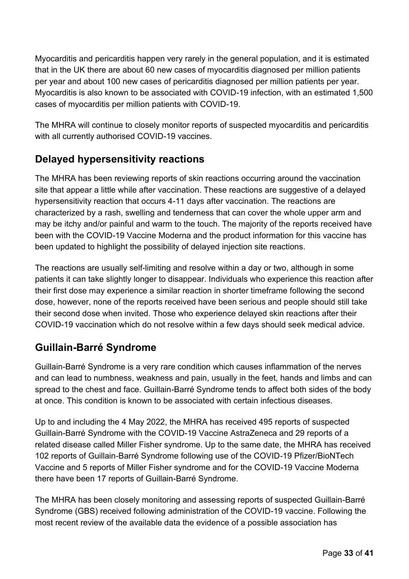Myocarditis and pericarditis happen very rarely in the general population, and it is estimated that in the UK there are about 60 new cases of myocarditis diagnosed per million patients per year and about 100 new cases of pericarditis diagnosed per million patients per year. Myocarditis is also known to be associated with COVID-19 infection, with an estimated 1,500 cases of myocarditis per million patients with COVID-19.

The MHRA will continue to closely monitor reports of suspected myocarditis and pericarditis with all currently authorised COVID-19 vaccines.

### **Delayed hypersensitivity reactions**

The MHRA has been reviewing reports of skin reactions occurring around the vaccination site that appear a little while after vaccination. These reactions are suggestive of a delayed hypersensitivity reaction that occurs 4-11 days after vaccination. The reactions are characterized by a rash, swelling and tenderness that can cover the whole upper arm and may be itchy and/or painful and warm to the touch. The majority of the reports received have been with the COVID-19 Vaccine Moderna and the product information for this vaccine has been updated to highlight the possibility of delayed injection site reactions.

The reactions are usually self-limiting and resolve within a day or two, although in some patients it can take slightly longer to disappear. Individuals who experience this reaction after their first dose may experience a similar reaction in shorter timeframe following the second dose, however, none of the reports received have been serious and people should still take their second dose when invited. Those who experience delayed skin reactions after their COVID-19 vaccination which do not resolve within a few days should seek medical advice.

#### **Guillain-Barré Syndrome**

Guillain-Barré Syndrome is a very rare condition which causes inflammation of the nerves and can lead to numbness, weakness and pain, usually in the feet, hands and limbs and can spread to the chest and face. Guillain-Barré Syndrome tends to affect both sides of the body at once. This condition is known to be associated with certain infectious diseases.

Up to and including the 4 May 2022, the MHRA has received 495 reports of suspected Guillain-Barré Syndrome with the COVID-19 Vaccine AstraZeneca and 29 reports of a related disease called Miller Fisher syndrome. Up to the same date, the MHRA has received 102 reports of Guillain-Barré Syndrome following use of the COVID-19 Pfizer/BioNTech Vaccine and 5 reports of Miller Fisher syndrome and for the COVID-19 Vaccine Moderna there have been 17 reports of Guillain-Barré Syndrome.

The MHRA has been closely monitoring and assessing reports of suspected Guillain-Barré Syndrome (GBS) received following administration of the COVID-19 vaccine. Following the most recent review of the available data the evidence of a possible association has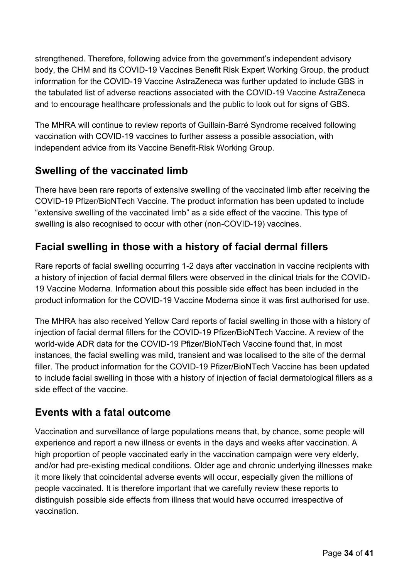strengthened. Therefore, following advice from the government's independent advisory body, the CHM and its COVID-19 Vaccines Benefit Risk Expert Working Group, the product information for the COVID-19 Vaccine AstraZeneca was further updated to include GBS in the tabulated list of adverse reactions associated with the COVID-19 Vaccine AstraZeneca and to encourage healthcare professionals and the public to look out for signs of GBS.

The MHRA will continue to review reports of Guillain-Barré Syndrome received following vaccination with COVID-19 vaccines to further assess a possible association, with independent advice from its Vaccine Benefit-Risk Working Group.

### **Swelling of the vaccinated limb**

There have been rare reports of extensive swelling of the vaccinated limb after receiving the COVID-19 Pfizer/BioNTech Vaccine. The product information has been updated to include "extensive swelling of the vaccinated limb" as a side effect of the vaccine. This type of swelling is also recognised to occur with other (non-COVID-19) vaccines.

### **Facial swelling in those with a history of facial dermal fillers**

Rare reports of facial swelling occurring 1-2 days after vaccination in vaccine recipients with a history of injection of facial dermal fillers were observed in the clinical trials for the COVID-19 Vaccine Moderna. Information about this possible side effect has been included in the product information for the COVID-19 Vaccine Moderna since it was first authorised for use.

The MHRA has also received Yellow Card reports of facial swelling in those with a history of injection of facial dermal fillers for the COVID-19 Pfizer/BioNTech Vaccine. A review of the world-wide ADR data for the COVID-19 Pfizer/BioNTech Vaccine found that, in most instances, the facial swelling was mild, transient and was localised to the site of the dermal filler. The product information for the COVID-19 Pfizer/BioNTech Vaccine has been updated to include facial swelling in those with a history of injection of facial dermatological fillers as a side effect of the vaccine.

#### **Events with a fatal outcome**

Vaccination and surveillance of large populations means that, by chance, some people will experience and report a new illness or events in the days and weeks after vaccination. A high proportion of people vaccinated early in the vaccination campaign were very elderly, and/or had pre-existing medical conditions. Older age and chronic underlying illnesses make it more likely that coincidental adverse events will occur, especially given the millions of people vaccinated. It is therefore important that we carefully review these reports to distinguish possible side effects from illness that would have occurred irrespective of vaccination.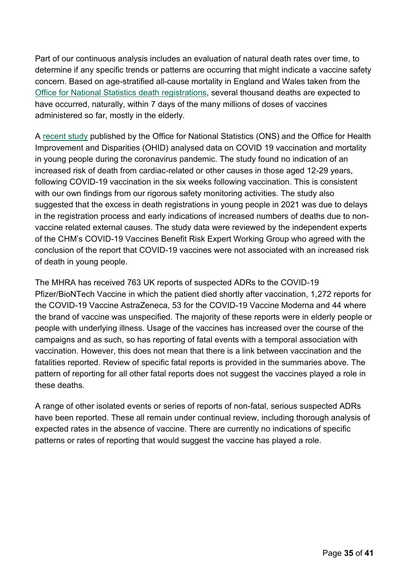Part of our continuous analysis includes an evaluation of natural death rates over time, to determine if any specific trends or patterns are occurring that might indicate a vaccine safety concern. Based on age-stratified all-cause mortality in England and Wales taken from the [Office for National Statistics death](https://www.ons.gov.uk/peoplepopulationandcommunity/birthsdeathsandmarriages/deaths/datasets/deathsregisteredinenglandandwalesseriesdrreferencetables) registrations, several thousand deaths are expected to have occurred, naturally, within 7 days of the many millions of doses of vaccines administered so far, mostly in the elderly.

A [recent study](https://www.ons.gov.uk/peoplepopulationandcommunity/healthandsocialcare/causesofdeath/articles/covid19vaccinationandmortalityinyoungpeopleduringthecoronaviruspandemic/2022-03-22) published by the Office for National Statistics (ONS) and the Office for Health Improvement and Disparities (OHID) analysed data on COVID 19 vaccination and mortality in young people during the coronavirus pandemic. The study found no indication of an increased risk of death from cardiac-related or other causes in those aged 12-29 years, following COVID-19 vaccination in the six weeks following vaccination. This is consistent with our own findings from our rigorous safety monitoring activities. The study also suggested that the excess in death registrations in young people in 2021 was due to delays in the registration process and early indications of increased numbers of deaths due to nonvaccine related external causes. The study data were reviewed by the independent experts of the CHM's COVID-19 Vaccines Benefit Risk Expert Working Group who agreed with the conclusion of the report that COVID-19 vaccines were not associated with an increased risk of death in young people.

The MHRA has received 763 UK reports of suspected ADRs to the COVID-19 Pfizer/BioNTech Vaccine in which the patient died shortly after vaccination, 1,272 reports for the COVID-19 Vaccine AstraZeneca, 53 for the COVID-19 Vaccine Moderna and 44 where the brand of vaccine was unspecified. The majority of these reports were in elderly people or people with underlying illness. Usage of the vaccines has increased over the course of the campaigns and as such, so has reporting of fatal events with a temporal association with vaccination. However, this does not mean that there is a link between vaccination and the fatalities reported. Review of specific fatal reports is provided in the summaries above. The pattern of reporting for all other fatal reports does not suggest the vaccines played a role in these deaths.

A range of other isolated events or series of reports of non-fatal, serious suspected ADRs have been reported. These all remain under continual review, including thorough analysis of expected rates in the absence of vaccine. There are currently no indications of specific patterns or rates of reporting that would suggest the vaccine has played a role.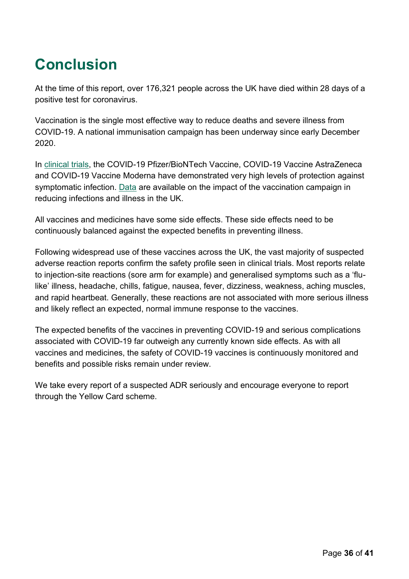# <span id="page-35-0"></span>**Conclusion**

At the time of this report, over 176,321 people across the UK have died within 28 days of a positive test for coronavirus.

Vaccination is the single most effective way to reduce deaths and severe illness from COVID-19. A national immunisation campaign has been underway since early December 2020.

In [clinical trials,](https://www.gov.uk/government/collections/mhra-guidance-on-coronavirus-covid-19#vaccines-and-vaccine-safety) the COVID-19 Pfizer/BioNTech Vaccine, COVID-19 Vaccine AstraZeneca and COVID-19 Vaccine Moderna have demonstrated very high levels of protection against symptomatic infection. [Data](https://www.gov.uk/government/publications/phe-monitoring-of-the-effectiveness-of-covid-19-vaccination) are available on the impact of the vaccination campaign in reducing infections and illness in the UK.

All vaccines and medicines have some side effects. These side effects need to be continuously balanced against the expected benefits in preventing illness.

Following widespread use of these vaccines across the UK, the vast majority of suspected adverse reaction reports confirm the safety profile seen in clinical trials. Most reports relate to injection-site reactions (sore arm for example) and generalised symptoms such as a 'flulike' illness, headache, chills, fatigue, nausea, fever, dizziness, weakness, aching muscles, and rapid heartbeat. Generally, these reactions are not associated with more serious illness and likely reflect an expected, normal immune response to the vaccines.

The expected benefits of the vaccines in preventing COVID-19 and serious complications associated with COVID-19 far outweigh any currently known side effects. As with all vaccines and medicines, the safety of COVID-19 vaccines is continuously monitored and benefits and possible risks remain under review.

We take every report of a suspected ADR seriously and encourage everyone to report through the Yellow Card scheme.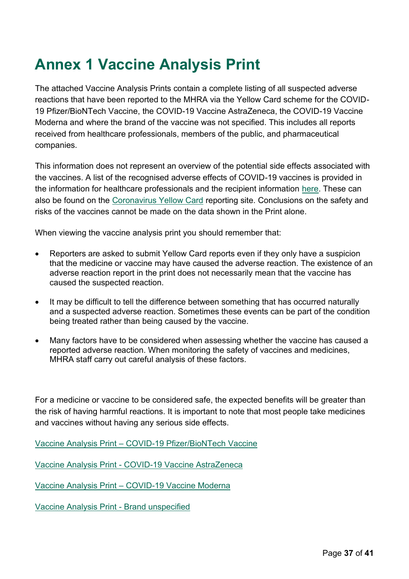## <span id="page-36-0"></span>**Annex 1 Vaccine Analysis Print**

The attached Vaccine Analysis Prints contain a complete listing of all suspected adverse reactions that have been reported to the MHRA via the Yellow Card scheme for the COVID-19 Pfizer/BioNTech Vaccine, the COVID-19 Vaccine AstraZeneca, the COVID-19 Vaccine Moderna and where the brand of the vaccine was not specified. This includes all reports received from healthcare professionals, members of the public, and pharmaceutical companies.

This information does not represent an overview of the potential side effects associated with the vaccines. A list of the recognised adverse effects of COVID-19 vaccines is provided in the information for healthcare professionals and the recipient information [here.](https://www.gov.uk/government/publications/regulatory-approval-of-pfizer-biontech-vaccine-for-covid-19) These can also be found on the [Coronavirus Yellow Card](https://coronavirus-yellowcard.mhra.gov.uk/) reporting site. Conclusions on the safety and risks of the vaccines cannot be made on the data shown in the Print alone.

When viewing the vaccine analysis print you should remember that:

- Reporters are asked to submit Yellow Card reports even if they only have a suspicion that the medicine or vaccine may have caused the adverse reaction. The existence of an adverse reaction report in the print does not necessarily mean that the vaccine has caused the suspected reaction.
- It may be difficult to tell the difference between something that has occurred naturally and a suspected adverse reaction. Sometimes these events can be part of the condition being treated rather than being caused by the vaccine.
- Many factors have to be considered when assessing whether the vaccine has caused a reported adverse reaction. When monitoring the safety of vaccines and medicines, MHRA staff carry out careful analysis of these factors.

For a medicine or vaccine to be considered safe, the expected benefits will be greater than the risk of having harmful reactions. It is important to note that most people take medicines and vaccines without having any serious side effects.

Vaccine Analysis Print – [COVID-19 Pfizer/BioNTech Vaccine](https://assets.publishing.service.gov.uk/government/uploads/system/uploads/attachment_data/file/1075148/COVID-19_Pfizer-BioNTech_Vaccine_Analysis_Print_DLP_4.05.2022.pdf)

Vaccine Analysis Print - [COVID-19 Vaccine AstraZeneca](https://assets.publishing.service.gov.uk/government/uploads/system/uploads/attachment_data/file/1075149/COVID-19_AstraZeneca_Vaccine_Analysis_Print_DLP_4.05.2022.pdf)

Vaccine Analysis Print – [COVID-19 Vaccine Moderna](https://assets.publishing.service.gov.uk/government/uploads/system/uploads/attachment_data/file/1075147/COVID-19_Moderna_Vaccine_Analysis_Print_DLP_4.05.2022.pdf)

Vaccine Analysis Print - [Brand unspecified](https://assets.publishing.service.gov.uk/government/uploads/system/uploads/attachment_data/file/1075146/COVID-19_Brand_Unspecified_Vaccine_Analysis_Print_DLP_4.05.2022.pdf)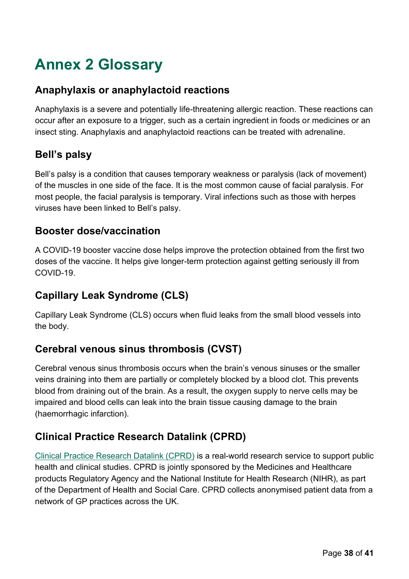# <span id="page-37-0"></span>**Annex 2 Glossary**

#### **Anaphylaxis or anaphylactoid reactions**

Anaphylaxis is a severe and potentially life-threatening allergic reaction. These reactions can occur after an exposure to a trigger, such as a certain ingredient in foods or medicines or an insect sting. Anaphylaxis and anaphylactoid reactions can be treated with adrenaline.

#### **Bell's palsy**

Bell's palsy is a condition that causes temporary weakness or paralysis (lack of movement) of the muscles in one side of the face. It is the most common cause of facial paralysis. For most people, the facial paralysis is temporary. Viral infections such as those with herpes viruses have been linked to Bell's palsy.

#### **Booster dose/vaccination**

A COVID-19 booster vaccine dose helps improve the protection obtained from the first two doses of the vaccine. It helps give longer-term protection against getting seriously ill from COVID-19.

#### **Capillary Leak Syndrome (CLS)**

Capillary Leak Syndrome (CLS) occurs when fluid leaks from the small blood vessels into the body.

#### **Cerebral venous sinus thrombosis (CVST)**

Cerebral venous sinus thrombosis occurs when the brain's venous sinuses or the smaller veins draining into them are partially or completely blocked by a blood clot. This prevents blood from draining out of the brain. As a result, the oxygen supply to nerve cells may be impaired and blood cells can leak into the brain tissue causing damage to the brain (haemorrhagic infarction).

#### **Clinical Practice Research Datalink (CPRD)**

[Clinical Practice Research Datalink \(CPRD\)](https://www.cprd.com/) is a real-world research service to support public health and clinical studies. CPRD is jointly sponsored by the Medicines and Healthcare products Regulatory Agency and the National Institute for Health Research (NIHR), as part of the Department of Health and Social Care. CPRD collects anonymised patient data from a network of GP practices across the UK.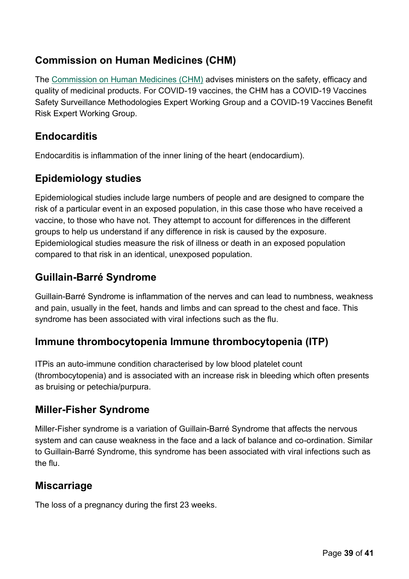#### **Commission on Human Medicines (CHM)**

The [Commission on Human Medicines \(CHM\)](https://www.gov.uk/government/organisations/commission-on-human-medicines) advises ministers on the safety, efficacy and quality of medicinal products. For COVID-19 vaccines, the CHM has a COVID-19 Vaccines Safety Surveillance Methodologies Expert Working Group and a COVID-19 Vaccines Benefit Risk Expert Working Group.

#### **Endocarditis**

Endocarditis is inflammation of the inner lining of the heart (endocardium).

#### **Epidemiology studies**

Epidemiological studies include large numbers of people and are designed to compare the risk of a particular event in an exposed population, in this case those who have received a vaccine, to those who have not. They attempt to account for differences in the different groups to help us understand if any difference in risk is caused by the exposure. Epidemiological studies measure the risk of illness or death in an exposed population compared to that risk in an identical, unexposed population.

#### **Guillain-Barré Syndrome**

Guillain-Barré Syndrome is inflammation of the nerves and can lead to numbness, weakness and pain, usually in the feet, hands and limbs and can spread to the chest and face. This syndrome has been associated with viral infections such as the flu.

#### **Immune thrombocytopenia Immune thrombocytopenia (ITP)**

ITPis an auto-immune condition characterised by low blood platelet count (thrombocytopenia) and is associated with an increase risk in bleeding which often presents as bruising or petechia/purpura.

#### **Miller-Fisher Syndrome**

Miller-Fisher syndrome is a variation of Guillain-Barré Syndrome that affects the nervous system and can cause weakness in the face and a lack of balance and co-ordination. Similar to Guillain-Barré Syndrome, this syndrome has been associated with viral infections such as the flu.

#### **Miscarriage**

The loss of a pregnancy during the first 23 weeks.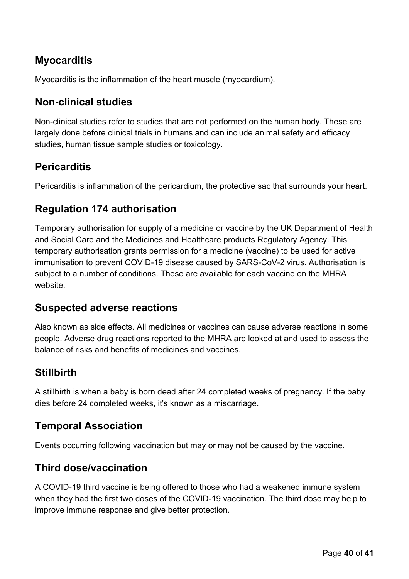#### **Myocarditis**

Myocarditis is the inflammation of the heart muscle (myocardium).

#### **Non-clinical studies**

Non-clinical studies refer to studies that are not performed on the human body. These are largely done before clinical trials in humans and can include animal safety and efficacy studies, human tissue sample studies or toxicology.

#### **Pericarditis**

Pericarditis is inflammation of the pericardium, the protective sac that surrounds your heart.

#### **Regulation 174 authorisation**

Temporary authorisation for supply of a medicine or vaccine by the UK Department of Health and Social Care and the Medicines and Healthcare products Regulatory Agency. This temporary authorisation grants permission for a medicine (vaccine) to be used for active immunisation to prevent COVID-19 disease caused by SARS-CoV-2 virus. Authorisation is subject to a number of conditions. These are available for each vaccine on the MHRA website.

#### **Suspected adverse reactions**

Also known as side effects. All medicines or vaccines can cause adverse reactions in some people. Adverse drug reactions reported to the MHRA are looked at and used to assess the balance of risks and benefits of medicines and vaccines.

#### **Stillbirth**

A stillbirth is when a baby is born dead after 24 completed weeks of pregnancy. If the baby dies before 24 completed weeks, it's known as a miscarriage.

#### **Temporal Association**

Events occurring following vaccination but may or may not be caused by the vaccine.

#### **Third dose/vaccination**

A COVID-19 third vaccine is being offered to those who had a weakened immune system when they had the first two doses of the COVID-19 vaccination. The third dose may help to improve immune response and give better protection.